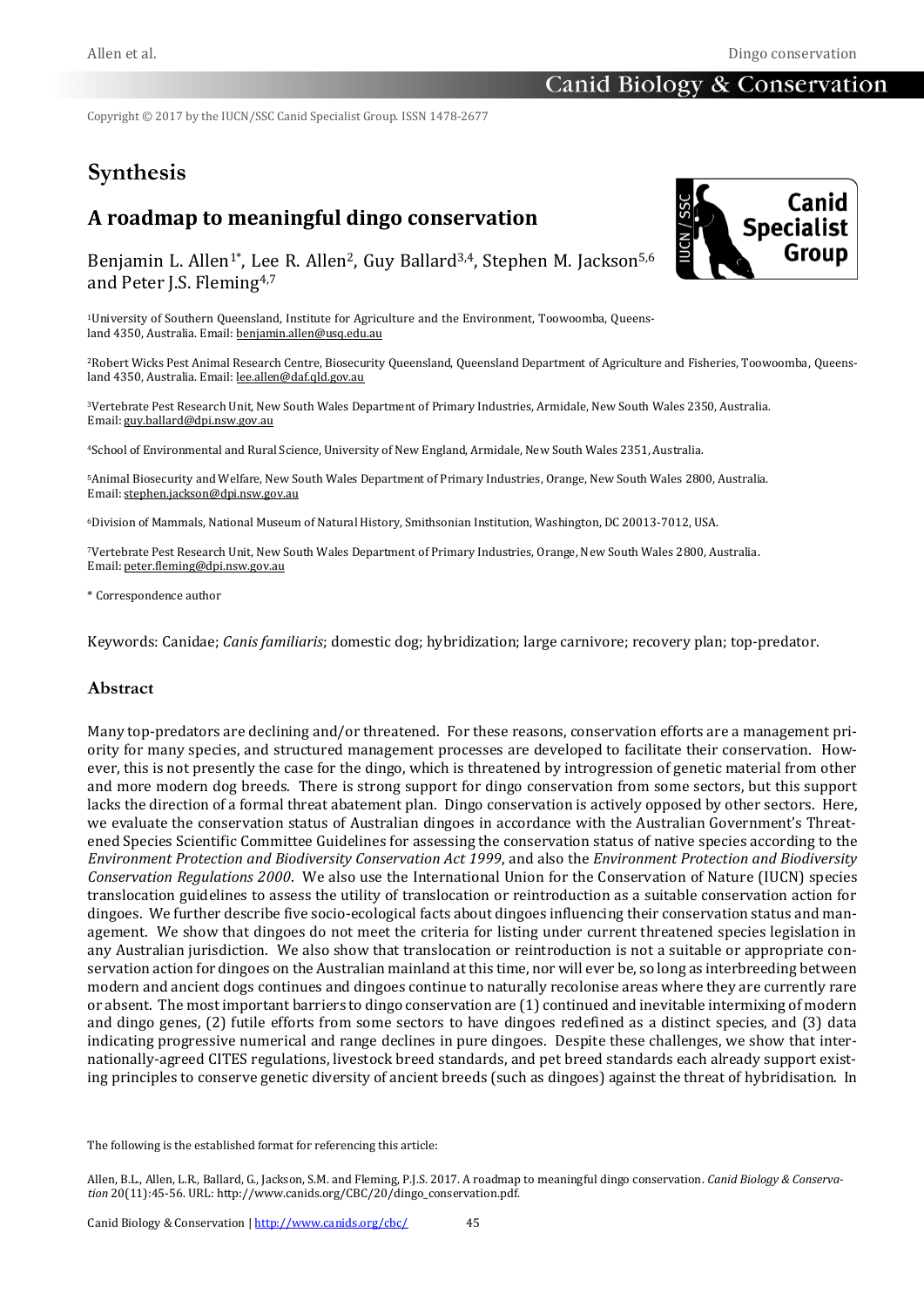Copyright © 2017 by the IUCN/SSC Canid Specialist Group. ISSN 1478-2677

# **Synthesis**

# **A roadmap to meaningful dingo conservation**



Benjamin L. Allen<sup>1\*</sup>, Lee R. Allen<sup>2</sup>, Guy Ballard<sup>3,4</sup>, Stephen M. Jackson<sup>5,6</sup> and Peter J.S. Fleming4,7

1University of Southern Queensland, Institute for Agriculture and the Environment, Toowoomba, Queensland 4350, Australia. Email[: benjamin.allen@usq.edu.au](mailto:benjamin.allen@usq.edu.au)

2Robert Wicks Pest Animal Research Centre, Biosecurity Queensland, Queensland Department of Agriculture and Fisheries, Toowoomba, Queens-land 4350, Australia. Email[: lee.allen@daf.qld.gov.au](mailto:lee.allen@daf.qld.gov.au)

<sup>3</sup>Vertebrate Pest Research Unit, New South Wales Department of Primary Industries, Armidale, New South Wales 2350, Australia. Email[: guy.ballard@dpi.nsw.gov.au](mailto:guy.ballard@dpi.nsw.gov.au)

<sup>4</sup>School of Environmental and Rural Science, University of New England, Armidale, New South Wales 2351, Australia.

<sup>5</sup>Animal Biosecurity and Welfare, New South Wales Department of Primary Industries, Orange, New South Wales 2800, Australia. Email[: stephen.jackson@dpi.nsw.gov.au](mailto:stephen.jackson@dpi.nsw.gov.au)

<sup>6</sup>Division of Mammals, National Museum of Natural History, Smithsonian Institution, Washington, DC 20013-7012, USA.

<sup>7</sup>Vertebrate Pest Research Unit, New South Wales Department of Primary Industries, Orange, New South Wales 2800, Australia. Email[: peter.fleming@dpi.nsw.gov.au](mailto:peter.fleming@dpi.nsw.gov.au)

\* Correspondence author

Keywords: Canidae; *Canis familiaris*; domestic dog; hybridization; large carnivore; recovery plan; top-predator.

#### **Abstract**

Many top-predators are declining and/or threatened. For these reasons, conservation efforts are a management priority for many species, and structured management processes are developed to facilitate their conservation. However, this is not presently the case for the dingo, which is threatened by introgression of genetic material from other and more modern dog breeds. There is strong support for dingo conservation from some sectors, but this support lacks the direction of a formal threat abatement plan. Dingo conservation is actively opposed by other sectors. Here, we evaluate the conservation status of Australian dingoes in accordance with the Australian Government's Threatened Species Scientific Committee Guidelines for assessing the conservation status of native species according to the *Environment Protection and Biodiversity Conservation Act 1999*, and also the *Environment Protection and Biodiversity Conservation Regulations 2000*. We also use the International Union for the Conservation of Nature (IUCN) species translocation guidelines to assess the utility of translocation or reintroduction as a suitable conservation action for dingoes. We further describe five socio-ecological facts about dingoes influencing their conservation status and management. We show that dingoes do not meet the criteria for listing under current threatened species legislation in any Australian jurisdiction. We also show that translocation or reintroduction is not a suitable or appropriate conservation action for dingoes on the Australian mainland at this time, nor will ever be, so long as interbreeding between modern and ancient dogs continues and dingoes continue to naturally recolonise areas where they are currently rare or absent. The most important barriers to dingo conservation are (1) continued and inevitable intermixing of modern and dingo genes, (2) futile efforts from some sectors to have dingoes redefined as a distinct species, and (3) data indicating progressive numerical and range declines in pure dingoes. Despite these challenges, we show that internationally-agreed CITES regulations, livestock breed standards, and pet breed standards each already support existing principles to conserve genetic diversity of ancient breeds (such as dingoes) against the threat of hybridisation. In

The following is the established format for referencing this article:

Allen, B.L., Allen, L.R., Ballard, G., Jackson, S.M. and Fleming, P.J.S. 2017. A roadmap to meaningful dingo conservation. *Canid Biology & Conservation* 20(11):45-56. URL: http://www.canids.org/CBC/20/dingo\_conservation.pdf.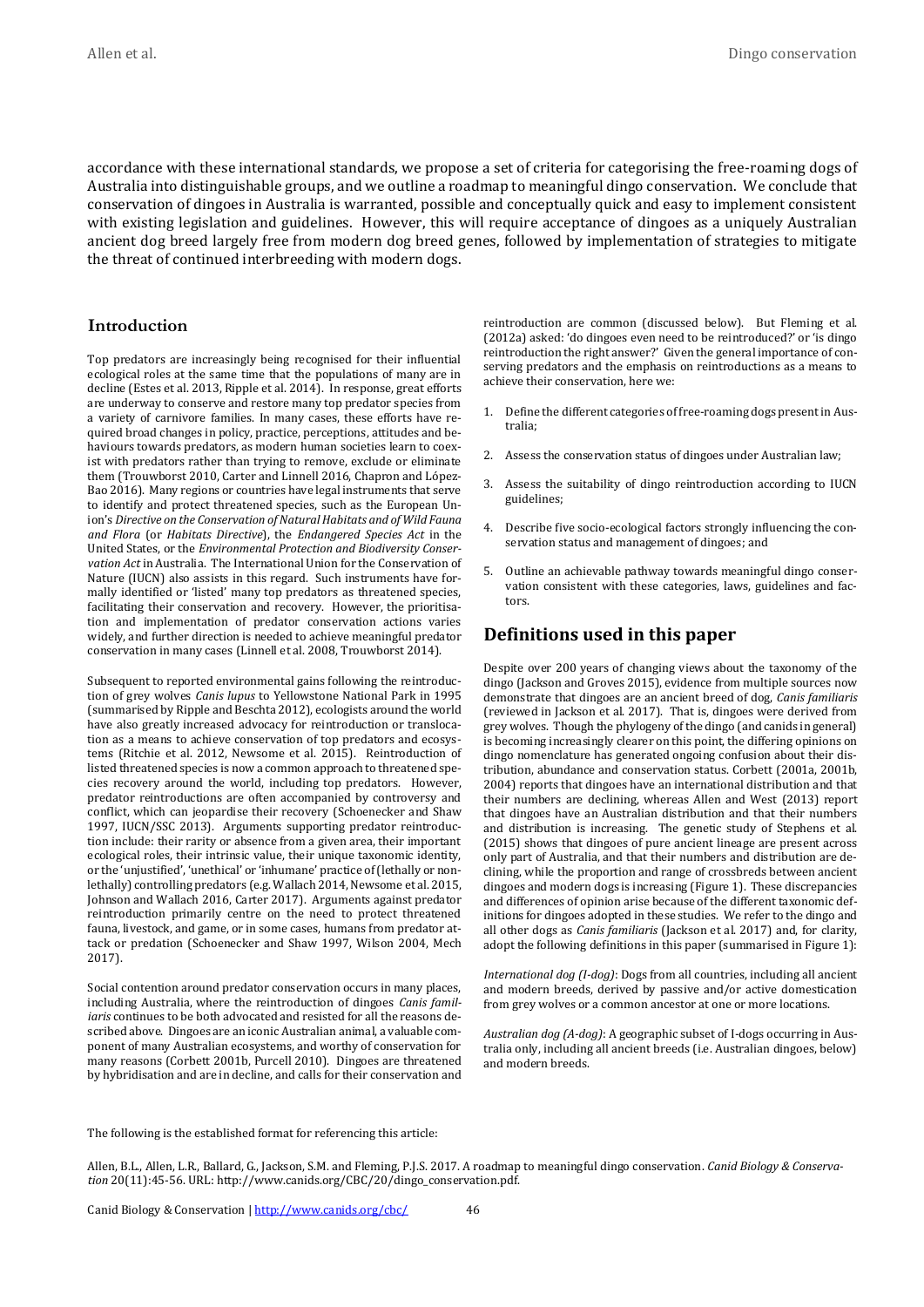accordance with these international standards, we propose a set of criteria for categorising the free-roaming dogs of Australia into distinguishable groups, and we outline a roadmap to meaningful dingo conservation. We conclude that conservation of dingoes in Australia is warranted, possible and conceptually quick and easy to implement consistent with existing legislation and guidelines. However, this will require acceptance of dingoes as a uniquely Australian ancient dog breed largely free from modern dog breed genes, followed by implementation of strategies to mitigate the threat of continued interbreeding with modern dogs.

#### **Introduction**

Top predators are increasingly being recognised for their influential ecological roles at the same time that the populations of many are in decline (Estes et al. 2013, Ripple et al. 2014). In response, great efforts are underway to conserve and restore many top predator species from a variety of carnivore families. In many cases, these efforts have required broad changes in policy, practice, perceptions, attitudes and behaviours towards predators, as modern human societies learn to coexist with predators rather than trying to remove, exclude or eliminate them (Trouwborst 2010, Carter and Linnell 2016, Chapron and López-Bao 2016). Many regions or countries have legal instruments that serve to identify and protect threatened species, such as the European Union's *Directive on the Conservation of Natural Habitats and of Wild Fauna and Flora* (or *Habitats Directive*), the *Endangered Species Act* in the United States, or the *Environmental Protection and Biodiversity Conservation Act* in Australia. The International Union for the Conservation of Nature (IUCN) also assists in this regard. Such instruments have formally identified or 'listed' many top predators as threatened species, facilitating their conservation and recovery. However, the prioritisation and implementation of predator conservation actions varies widely, and further direction is needed to achieve meaningful predator conservation in many cases (Linnell et al. 2008, Trouwborst 2014).

Subsequent to reported environmental gains following the reintroduction of grey wolves *Canis lupus* to Yellowstone National Park in 1995 (summarised by Ripple and Beschta 2012), ecologists around the world have also greatly increased advocacy for reintroduction or translocation as a means to achieve conservation of top predators and ecosystems (Ritchie et al. 2012, Newsome et al. 2015). Reintroduction of listed threatened species is now a common approach to threatened species recovery around the world, including top predators. However, predator reintroductions are often accompanied by controversy and conflict, which can jeopardise their recovery (Schoenecker and Shaw 1997, IUCN/SSC 2013). Arguments supporting predator reintroduction include: their rarity or absence from a given area, their important ecological roles, their intrinsic value, their unique taxonomic identity, or the 'unjustified', 'unethical' or 'inhumane' practice of (lethally or nonlethally) controlling predators (e.g. Wallach 2014, Newsome et al. 2015, Johnson and Wallach 2016, Carter 2017). Arguments against predator reintroduction primarily centre on the need to protect threatened fauna, livestock, and game, or in some cases, humans from predator attack or predation (Schoenecker and Shaw 1997, Wilson 2004, Mech 2017).

Social contention around predator conservation occurs in many places, including Australia, where the reintroduction of dingoes *Canis familiaris* continues to be both advocated and resisted for all the reasons described above. Dingoes are an iconic Australian animal, a valuable component of many Australian ecosystems, and worthy of conservation for many reasons (Corbett 2001b, Purcell 2010). Dingoes are threatened by hybridisation and are in decline, and calls for their conservation and reintroduction are common (discussed below). But Fleming et al. (2012a) asked: 'do dingoes even need to be reintroduced?' or 'is dingo reintroduction the right answer?' Given the general importance of conserving predators and the emphasis on reintroductions as a means to achieve their conservation, here we:

- 1. Define the different categories of free-roaming dogs present in Australia;
- 2. Assess the conservation status of dingoes under Australian law;
- 3. Assess the suitability of dingo reintroduction according to IUCN guidelines;
- 4. Describe five socio-ecological factors strongly influencing the conservation status and management of dingoes; and
- 5. Outline an achievable pathway towards meaningful dingo conservation consistent with these categories, laws, guidelines and factors.

# **Definitions used in this paper**

Despite over 200 years of changing views about the taxonomy of the dingo (Jackson and Groves 2015), evidence from multiple sources now demonstrate that dingoes are an ancient breed of dog, *Canis familiaris* (reviewed in Jackson et al. 2017). That is, dingoes were derived from grey wolves. Though the phylogeny of the dingo (and canids in general) is becoming increasingly clearer on this point, the differing opinions on dingo nomenclature has generated ongoing confusion about their distribution, abundance and conservation status. Corbett (2001a, 2001b, 2004) reports that dingoes have an international distribution and that their numbers are declining, whereas Allen and West (2013) report that dingoes have an Australian distribution and that their numbers and distribution is increasing. The genetic study of Stephens et al. (2015) shows that dingoes of pure ancient lineage are present across only part of Australia, and that their numbers and distribution are declining, while the proportion and range of crossbreds between ancient dingoes and modern dogs is increasing (Figure 1). These discrepancies and differences of opinion arise because of the different taxonomic definitions for dingoes adopted in these studies. We refer to the dingo and all other dogs as *Canis familiaris* (Jackson et al. 2017) and, for clarity, adopt the following definitions in this paper (summarised in Figure 1):

*International dog (I-dog)*: Dogs from all countries, including all ancient and modern breeds, derived by passive and/or active domestication from grey wolves or a common ancestor at one or more locations.

*Australian dog (A-dog)*: A geographic subset of I-dogs occurring in Australia only, including all ancient breeds (i.e. Australian dingoes, below) and modern breeds.

The following is the established format for referencing this article:

Allen, B.L., Allen, L.R., Ballard, G., Jackson, S.M. and Fleming, P.J.S. 2017. A roadmap to meaningful dingo conservation. *Canid Biology & Conservation* 20(11):45-56. URL: http://www.canids.org/CBC/20/dingo\_conservation.pdf.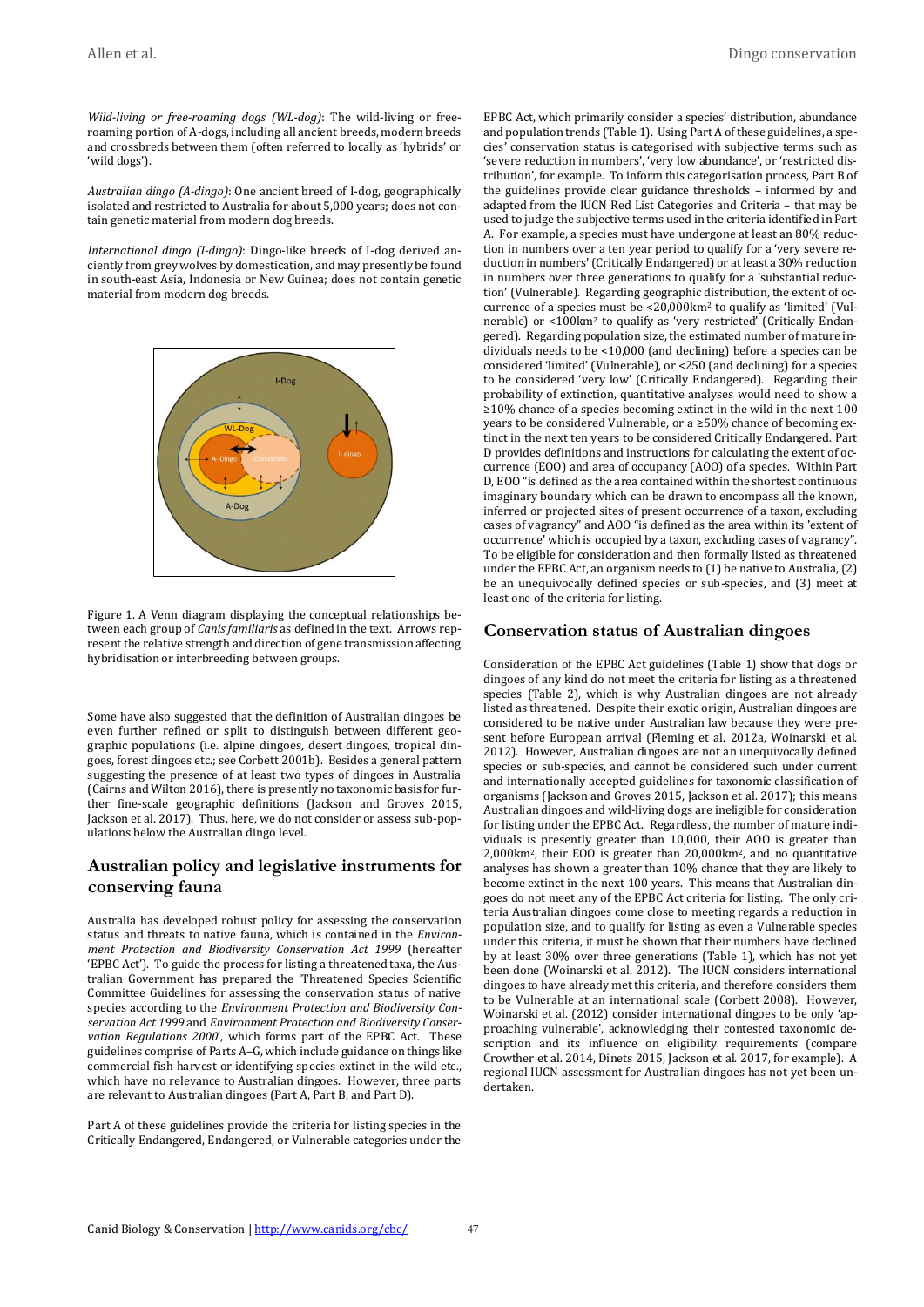*Wild-living or free-roaming dogs (WL-dog)*: The wild-living or freeroaming portion of A-dogs, including all ancient breeds, modern breeds and crossbreds between them (often referred to locally as 'hybrids' or 'wild dogs').

*Australian dingo (A-dingo)*: One ancient breed of I-dog, geographically isolated and restricted to Australia for about 5,000 years; does not contain genetic material from modern dog breeds.

*International dingo (I-dingo)*: Dingo-like breeds of I-dog derived anciently from grey wolves by domestication, and may presently be found in south-east Asia, Indonesia or New Guinea; does not contain genetic material from modern dog breeds.



Figure 1. A Venn diagram displaying the conceptual relationships between each group of *Canis familiaris* as defined in the text. Arrows represent the relative strength and direction of gene transmission affecting hybridisation or interbreeding between groups.

Some have also suggested that the definition of Australian dingoes be even further refined or split to distinguish between different geographic populations (i.e. alpine dingoes, desert dingoes, tropical dingoes, forest dingoes etc.; see Corbett 2001b). Besides a general pattern suggesting the presence of at least two types of dingoes in Australia (Cairns and Wilton 2016), there is presently no taxonomic basis for further fine-scale geographic definitions (Jackson and Groves 2015, Jackson et al. 2017). Thus, here, we do not consider or assess sub-populations below the Australian dingo level.

# **Australian policy and legislative instruments for conserving fauna**

Australia has developed robust policy for assessing the conservation status and threats to native fauna, which is contained in the *Environment Protection and Biodiversity Conservation Act 1999* (hereafter 'EPBC Act'). To guide the process for listing a threatened taxa, the Australian Government has prepared the 'Threatened Species Scientific Committee Guidelines for assessing the conservation status of native species according to the *Environment Protection and Biodiversity Conservation Act 1999* and *Environment Protection and Biodiversity Conservation Regulations 2000*', which forms part of the EPBC Act. These guidelines comprise of Parts A–G, which include guidance on things like commercial fish harvest or identifying species extinct in the wild etc., which have no relevance to Australian dingoes. However, three parts are relevant to Australian dingoes (Part A, Part B, and Part D).

Part A of these guidelines provide the criteria for listing species in the Critically Endangered, Endangered, or Vulnerable categories under the EPBC Act, which primarily consider a species' distribution, abundance and population trends (Table 1). Using Part A of these guidelines, a species' conservation status is categorised with subjective terms such as 'severe reduction in numbers', 'very low abundance', or 'restricted distribution', for example. To inform this categorisation process, Part B of the guidelines provide clear guidance thresholds – informed by and adapted from the IUCN Red List Categories and Criteria – that may be used to judge the subjective terms used in the criteria identified in Part A. For example, a species must have undergone at least an 80% reduction in numbers over a ten year period to qualify for a 'very severe reduction in numbers' (Critically Endangered) or at least a 30% reduction in numbers over three generations to qualify for a 'substantial reduction' (Vulnerable). Regarding geographic distribution, the extent of occurrence of a species must be <20,000km<sup>2</sup> to qualify as 'limited' (Vulnerable) or <100km<sup>2</sup> to qualify as 'very restricted' (Critically Endangered). Regarding population size, the estimated number of mature individuals needs to be <10,000 (and declining) before a species can be considered 'limited' (Vulnerable), or <250 (and declining) for a species to be considered 'very low' (Critically Endangered). Regarding their probability of extinction, quantitative analyses would need to show a ≥10% chance of a species becoming extinct in the wild in the next 100 years to be considered Vulnerable, or a ≥50% chance of becoming extinct in the next ten years to be considered Critically Endangered. Part D provides definitions and instructions for calculating the extent of occurrence (EOO) and area of occupancy (AOO) of a species. Within Part D, EOO "is defined as the area contained within the shortest continuous imaginary boundary which can be drawn to encompass all the known, inferred or projected sites of present occurrence of a taxon, excluding cases of vagrancy" and AOO "is defined as the area within its 'extent of occurrence' which is occupied by a taxon, excluding cases of vagrancy". To be eligible for consideration and then formally listed as threatened under the EPBC Act, an organism needs to (1) be native to Australia, (2) be an unequivocally defined species or sub-species, and (3) meet at least one of the criteria for listing.

#### **Conservation status of Australian dingoes**

Consideration of the EPBC Act guidelines (Table 1) show that dogs or dingoes of any kind do not meet the criteria for listing as a threatened species (Table 2), which is why Australian dingoes are not already listed as threatened. Despite their exotic origin, Australian dingoes are considered to be native under Australian law because they were present before European arrival (Fleming et al. 2012a, Woinarski et al. 2012). However, Australian dingoes are not an unequivocally defined species or sub-species, and cannot be considered such under current and internationally accepted guidelines for taxonomic classification of organisms (Jackson and Groves 2015, Jackson et al. 2017); this means Australian dingoes and wild-living dogs are ineligible for consideration for listing under the EPBC Act. Regardless, the number of mature individuals is presently greater than 10,000, their AOO is greater than 2,000km2, their EOO is greater than 20,000km2, and no quantitative analyses has shown a greater than 10% chance that they are likely to become extinct in the next 100 years. This means that Australian dingoes do not meet any of the EPBC Act criteria for listing. The only criteria Australian dingoes come close to meeting regards a reduction in population size, and to qualify for listing as even a Vulnerable species under this criteria, it must be shown that their numbers have declined by at least 30% over three generations (Table 1), which has not yet been done (Woinarski et al. 2012). The IUCN considers international dingoes to have already met this criteria, and therefore considers them to be Vulnerable at an international scale (Corbett 2008). However, Woinarski et al. (2012) consider international dingoes to be only 'approaching vulnerable', acknowledging their contested taxonomic description and its influence on eligibility requirements (compare Crowther et al. 2014, Dinets 2015, Jackson et al. 2017, for example). A regional IUCN assessment for Australian dingoes has not yet been undertaken.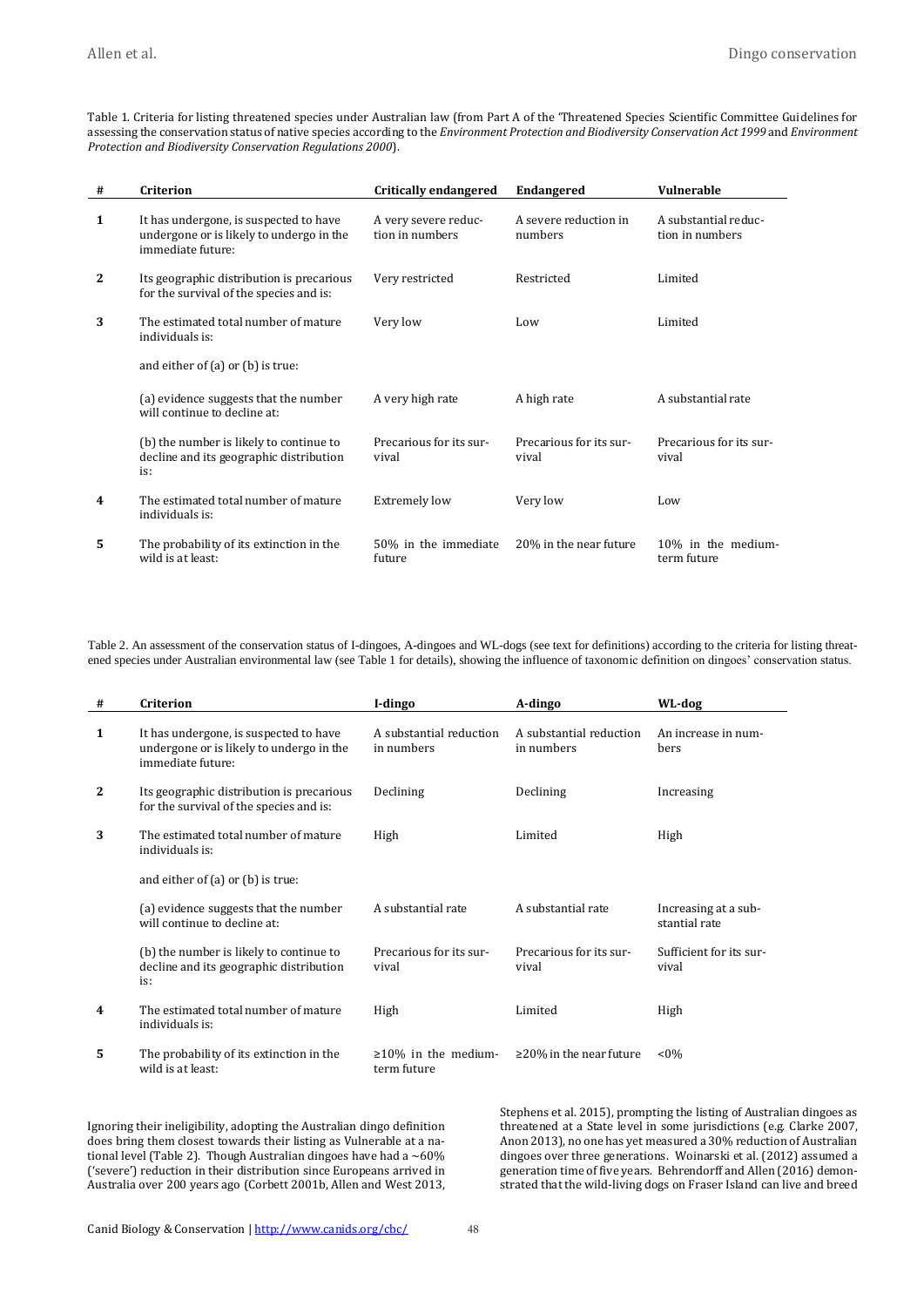Table 1. Criteria for listing threatened species under Australian law (from Part A of the 'Threatened Species Scientific Committee Guidelines for assessing the conservation status of native species according to the *Environment Protection and Biodiversity Conservation Act 1999* and *Environment Protection and Biodiversity Conservation Regulations 2000*).

| # | Criterion                                                                                               | <b>Critically endangered</b>            | <b>Endangered</b>                | <b>Vulnerable</b>                       |
|---|---------------------------------------------------------------------------------------------------------|-----------------------------------------|----------------------------------|-----------------------------------------|
| 1 | It has undergone, is suspected to have<br>undergone or is likely to undergo in the<br>immediate future: | A very severe reduc-<br>tion in numbers | A severe reduction in<br>numbers | A substantial reduc-<br>tion in numbers |
| 2 | Its geographic distribution is precarious<br>for the survival of the species and is:                    | Very restricted                         | Restricted                       | Limited                                 |
| 3 | The estimated total number of mature<br>individuals is:                                                 | Very low                                | Low                              | Limited                                 |
|   | and either of $(a)$ or $(b)$ is true:                                                                   |                                         |                                  |                                         |
|   | (a) evidence suggests that the number<br>will continue to decline at:                                   | A very high rate                        | A high rate                      | A substantial rate                      |
|   | (b) the number is likely to continue to<br>decline and its geographic distribution<br>is:               | Precarious for its sur-<br>vival        | Precarious for its sur-<br>vival | Precarious for its sur-<br>vival        |
| 4 | The estimated total number of mature<br>individuals is:                                                 | <b>Extremely low</b>                    | Very low                         | Low                                     |
| 5 | The probability of its extinction in the<br>wild is at least:                                           | 50% in the immediate<br>future          | 20% in the near future           | 10% in the medium-<br>term future       |

Table 2. An assessment of the conservation status of I-dingoes, A-dingoes and WL-dogs (see text for definitions) according to the criteria for listing threatened species under Australian environmental law (see Table 1 for details), showing the influence of taxonomic definition on dingoes' conservation status.

| #            | Criterion                                                                                               | I-dingo                                   | A-dingo                               | WL-dog                                |
|--------------|---------------------------------------------------------------------------------------------------------|-------------------------------------------|---------------------------------------|---------------------------------------|
| $\mathbf{1}$ | It has undergone, is suspected to have<br>undergone or is likely to undergo in the<br>immediate future: | A substantial reduction<br>in numbers     | A substantial reduction<br>in numbers | An increase in num-<br><b>bers</b>    |
| $\mathbf{2}$ | Its geographic distribution is precarious<br>for the survival of the species and is:                    | Declining                                 | Declining                             | Increasing                            |
| 3            | The estimated total number of mature<br>individuals is:                                                 | High                                      | Limited                               | High                                  |
|              | and either of $(a)$ or $(b)$ is true:                                                                   |                                           |                                       |                                       |
|              | (a) evidence suggests that the number<br>will continue to decline at:                                   | A substantial rate                        | A substantial rate                    | Increasing at a sub-<br>stantial rate |
|              | (b) the number is likely to continue to<br>decline and its geographic distribution<br>is:               | Precarious for its sur-<br>vival          | Precarious for its sur-<br>vival      | Sufficient for its sur-<br>vival      |
| 4            | The estimated total number of mature<br>individuals is:                                                 | High                                      | Limited                               | High                                  |
| 5.           | The probability of its extinction in the<br>wild is at least:                                           | $\geq 10\%$ in the medium-<br>term future | $\geq$ 20% in the near future         | $< 0\%$                               |

Ignoring their ineligibility, adopting the Australian dingo definition does bring them closest towards their listing as Vulnerable at a national level (Table 2). Though Australian dingoes have had a  $~60\%$ ('severe') reduction in their distribution since Europeans arrived in Australia over 200 years ago (Corbett 2001b, Allen and West 2013, Stephens et al. 2015), prompting the listing of Australian dingoes as threatened at a State level in some jurisdictions (e.g. Clarke 2007, Anon 2013), no one has yet measured a 30% reduction of Australian dingoes over three generations. Woinarski et al. (2012) assumed a generation time of five years. Behrendorff and Allen (2016) demonstrated that the wild-living dogs on Fraser Island can live and breed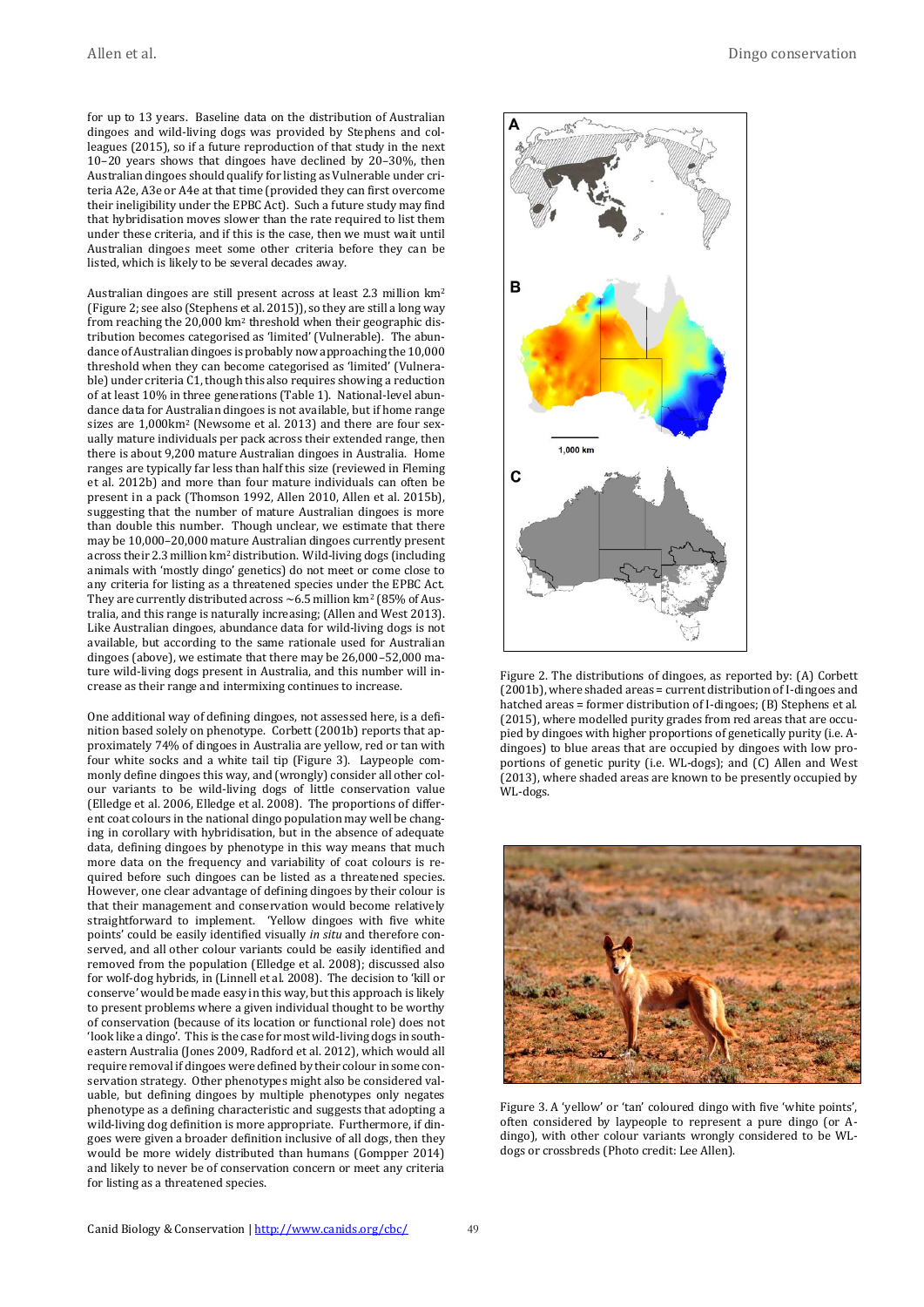for up to 13 years. Baseline data on the distribution of Australian dingoes and wild-living dogs was provided by Stephens and colleagues (2015), so if a future reproduction of that study in the next 10–20 years shows that dingoes have declined by 20–30%, then Australian dingoes should qualify for listing as Vulnerable under criteria A2e, A3e or A4e at that time (provided they can first overcome their ineligibility under the EPBC Act). Such a future study may find that hybridisation moves slower than the rate required to list them under these criteria, and if this is the case, then we must wait until Australian dingoes meet some other criteria before they can be listed, which is likely to be several decades away.

Australian dingoes are still present across at least 2.3 million km<sup>2</sup> (Figure 2; see also (Stephens et al. 2015)), so they are still a long way from reaching the 20,000 km<sup>2</sup> threshold when their geographic distribution becomes categorised as 'limited' (Vulnerable). The abundance of Australian dingoes is probably now approaching the 10,000 threshold when they can become categorised as 'limited' (Vulnerable) under criteria C1, though this also requires showing a reduction of at least 10% in three generations (Table 1). National-level abundance data for Australian dingoes is not available, but if home range sizes are 1,000km<sup>2</sup> (Newsome et al. 2013) and there are four sexually mature individuals per pack across their extended range, then there is about 9,200 mature Australian dingoes in Australia. Home ranges are typically far less than half this size (reviewed in Fleming et al. 2012b) and more than four mature individuals can often be present in a pack (Thomson 1992, Allen 2010, Allen et al. 2015b), suggesting that the number of mature Australian dingoes is more than double this number. Though unclear, we estimate that there may be 10,000–20,000 mature Australian dingoes currently present across their 2.3 million km<sup>2</sup> distribution. Wild-living dogs (including animals with 'mostly dingo' genetics) do not meet or come close to any criteria for listing as a threatened species under the EPBC Act. They are currently distributed across  $\sim$  6.5 million km<sup>2</sup> (85% of Australia, and this range is naturally increasing; (Allen and West 2013). Like Australian dingoes, abundance data for wild-living dogs is not available, but according to the same rationale used for Australian dingoes (above), we estimate that there may be 26,000–52,000 mature wild-living dogs present in Australia, and this number will increase as their range and intermixing continues to increase.

One additional way of defining dingoes, not assessed here, is a definition based solely on phenotype. Corbett (2001b) reports that approximately 74% of dingoes in Australia are yellow, red or tan with four white socks and a white tail tip (Figure 3). Laypeople commonly define dingoes this way, and (wrongly) consider all other colour variants to be wild-living dogs of little conservation value (Elledge et al. 2006, Elledge et al. 2008). The proportions of different coat colours in the national dingo population may well be changing in corollary with hybridisation, but in the absence of adequate data, defining dingoes by phenotype in this way means that much more data on the frequency and variability of coat colours is required before such dingoes can be listed as a threatened species. However, one clear advantage of defining dingoes by their colour is that their management and conservation would become relatively straightforward to implement. 'Yellow dingoes with five white points' could be easily identified visually *in situ* and therefore conserved, and all other colour variants could be easily identified and removed from the population (Elledge et al. 2008); discussed also for wolf-dog hybrids, in (Linnell et al. 2008). The decision to 'kill or conserve' would be made easy in this way, but this approach is likely to present problems where a given individual thought to be worthy of conservation (because of its location or functional role) does not 'look like a dingo'. This is the case for most wild-living dogs in southeastern Australia (Jones 2009, Radford et al. 2012), which would all require removal if dingoes were defined by their colour in some conservation strategy. Other phenotypes might also be considered valuable, but defining dingoes by multiple phenotypes only negates phenotype as a defining characteristic and suggests that adopting a wild-living dog definition is more appropriate. Furthermore, if dingoes were given a broader definition inclusive of all dogs, then they would be more widely distributed than humans (Gompper 2014) and likely to never be of conservation concern or meet any criteria for listing as a threatened species.



Figure 2. The distributions of dingoes, as reported by: (A) Corbett [\(2001b\)](#page-9-0), where shaded areas = current distribution of I-dingoes and hatched areas = former distribution of I-dingoes; (B) Stephens et al. [\(2015\)](#page-11-0), where modelled purity grades from red areas that are occupied by dingoes with higher proportions of genetically purity (i.e. Adingoes) to blue areas that are occupied by dingoes with low proportions of genetic purity (i.e. WL-dogs); and (C) Allen and West [\(2013\)](#page-9-1), where shaded areas are known to be presently occupied by WL-dogs.



Figure 3. A 'yellow' or 'tan' coloured dingo with five 'white points', often considered by laypeople to represent a pure dingo (or Adingo), with other colour variants wrongly considered to be WLdogs or crossbreds (Photo credit: Lee Allen).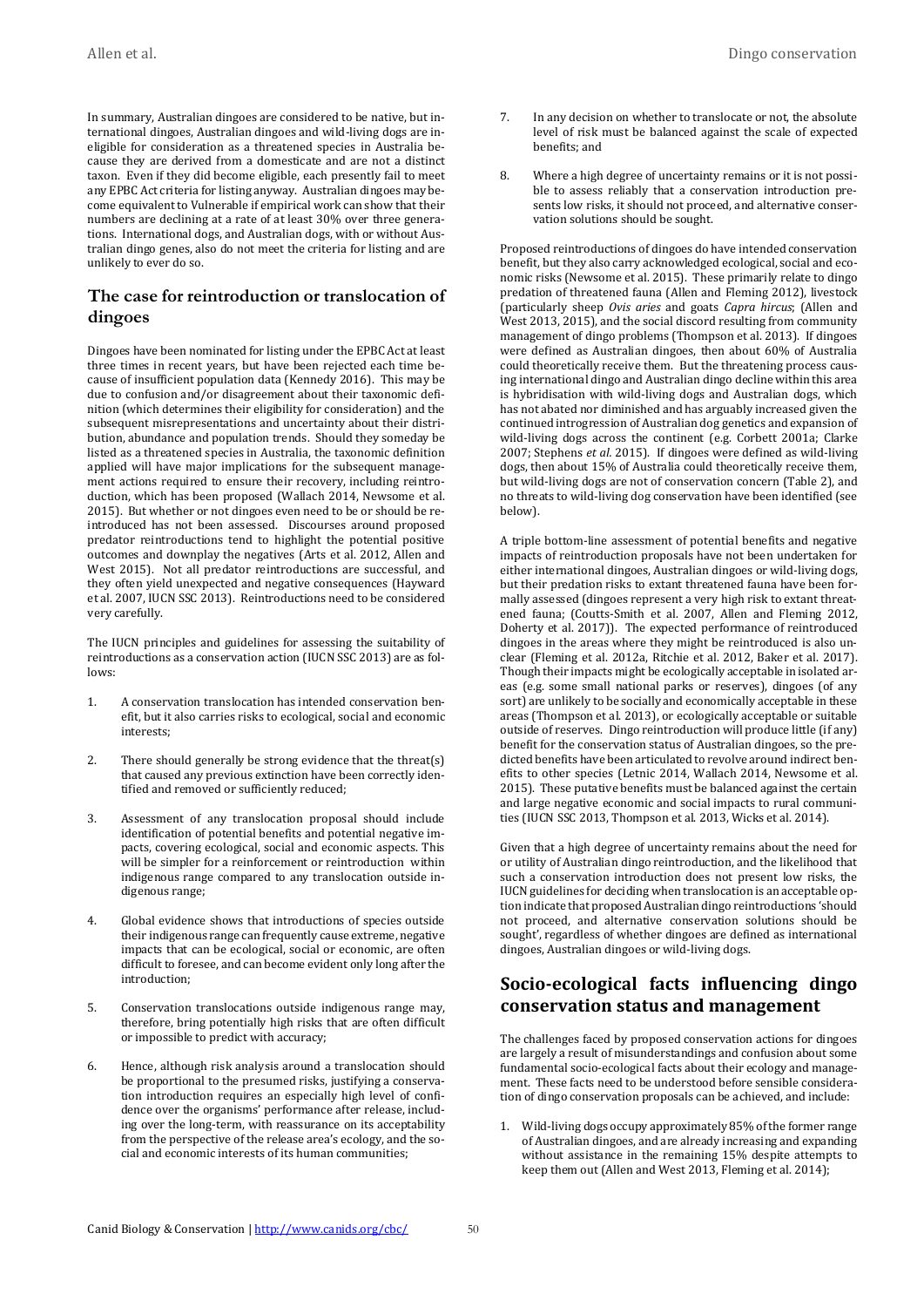In summary, Australian dingoes are considered to be native, but international dingoes, Australian dingoes and wild-living dogs are ineligible for consideration as a threatened species in Australia because they are derived from a domesticate and are not a distinct taxon. Even if they did become eligible, each presently fail to meet any EPBC Act criteria for listing anyway. Australian dingoes may become equivalent to Vulnerable if empirical work can show that their numbers are declining at a rate of at least 30% over three generations. International dogs, and Australian dogs, with or without Australian dingo genes, also do not meet the criteria for listing and are unlikely to ever do so.

#### **The case for reintroduction or translocation of dingoes**

Dingoes have been nominated for listing under the EPBC Act at least three times in recent years, but have been rejected each time because of insufficient population data (Kennedy 2016). This may be due to confusion and/or disagreement about their taxonomic definition (which determines their eligibility for consideration) and the subsequent misrepresentations and uncertainty about their distribution, abundance and population trends. Should they someday be listed as a threatened species in Australia, the taxonomic definition applied will have major implications for the subsequent management actions required to ensure their recovery, including reintroduction, which has been proposed (Wallach 2014, Newsome et al. 2015). But whether or not dingoes even need to be or should be reintroduced has not been assessed. Discourses around proposed predator reintroductions tend to highlight the potential positive outcomes and downplay the negatives (Arts et al. 2012, Allen and West 2015). Not all predator reintroductions are successful, and they often yield unexpected and negative consequences (Hayward et al. 2007, IUCN SSC 2013). Reintroductions need to be considered very carefully.

The IUCN principles and guidelines for assessing the suitability of reintroductions as a conservation action (IUCN SSC 2013) are as follows:

- 1. A conservation translocation has intended conservation benefit, but it also carries risks to ecological, social and economic interests;
- 2. There should generally be strong evidence that the threat(s) that caused any previous extinction have been correctly identified and removed or sufficiently reduced;
- 3. Assessment of any translocation proposal should include identification of potential benefits and potential negative impacts, covering ecological, social and economic aspects. This will be simpler for a reinforcement or reintroduction within indigenous range compared to any translocation outside indigenous range;
- 4. Global evidence shows that introductions of species outside their indigenous range can frequently cause extreme, negative impacts that can be ecological, social or economic, are often difficult to foresee, and can become evident only long after the introduction;
- 5. Conservation translocations outside indigenous range may, therefore, bring potentially high risks that are often difficult or impossible to predict with accuracy;
- 6. Hence, although risk analysis around a translocation should be proportional to the presumed risks, justifying a conservation introduction requires an especially high level of confidence over the organisms' performance after release, including over the long-term, with reassurance on its acceptability from the perspective of the release area's ecology, and the social and economic interests of its human communities;
- 7. In any decision on whether to translocate or not, the absolute level of risk must be balanced against the scale of expected benefits; and
- 8. Where a high degree of uncertainty remains or it is not possible to assess reliably that a conservation introduction presents low risks, it should not proceed, and alternative conservation solutions should be sought.

Proposed reintroductions of dingoes do have intended conservation benefit, but they also carry acknowledged ecological, social and economic risks (Newsome et al. 2015). These primarily relate to dingo predation of threatened fauna (Allen and Fleming 2012), livestock (particularly sheep *Ovis aries* and goats *Capra hircus*; (Allen and West 2013, 2015), and the social discord resulting from community management of dingo problems (Thompson et al. 2013). If dingoes were defined as Australian dingoes, then about 60% of Australia could theoretically receive them. But the threatening process causing international dingo and Australian dingo decline within this area is hybridisation with wild-living dogs and Australian dogs, which has not abated nor diminished and has arguably increased given the continued introgression of Australian dog genetics and expansion of wild-living dogs across the continent (e.g. Corbett 2001a; Clarke 2007; Stephens *et al.* 2015). If dingoes were defined as wild-living dogs, then about 15% of Australia could theoretically receive them, but wild-living dogs are not of conservation concern (Table 2), and no threats to wild-living dog conservation have been identified (see below).

A triple bottom-line assessment of potential benefits and negative impacts of reintroduction proposals have not been undertaken for either international dingoes, Australian dingoes or wild-living dogs, but their predation risks to extant threatened fauna have been formally assessed (dingoes represent a very high risk to extant threatened fauna; (Coutts-Smith et al. 2007, Allen and Fleming 2012, Doherty et al. 2017)). The expected performance of reintroduced dingoes in the areas where they might be reintroduced is also unclear (Fleming et al. 2012a, Ritchie et al. 2012, Baker et al. 2017). Though their impacts might be ecologically acceptable in isolated areas (e.g. some small national parks or reserves), dingoes (of any sort) are unlikely to be socially and economically acceptable in these areas (Thompson et al. 2013), or ecologically acceptable or suitable outside of reserves. Dingo reintroduction will produce little (if any) benefit for the conservation status of Australian dingoes, so the predicted benefits have been articulated to revolve around indirect benefits to other species (Letnic 2014, Wallach 2014, Newsome et al. 2015). These putative benefits must be balanced against the certain and large negative economic and social impacts to rural communities (IUCN SSC 2013, Thompson et al. 2013, Wicks et al. 2014).

Given that a high degree of uncertainty remains about the need for or utility of Australian dingo reintroduction, and the likelihood that such a conservation introduction does not present low risks, the IUCN guidelines for deciding when translocation is an acceptable option indicate that proposed Australian dingo reintroductions 'should not proceed, and alternative conservation solutions should be sought', regardless of whether dingoes are defined as international dingoes, Australian dingoes or wild-living dogs.

# **Socio-ecological facts influencing dingo conservation status and management**

The challenges faced by proposed conservation actions for dingoes are largely a result of misunderstandings and confusion about some fundamental socio-ecological facts about their ecology and management. These facts need to be understood before sensible consideration of dingo conservation proposals can be achieved, and include:

1. Wild-living dogs occupy approximately 85% of the former range of Australian dingoes, and are already increasing and expanding without assistance in the remaining 15% despite attempts to keep them out (Allen and West 2013, Fleming et al. 2014);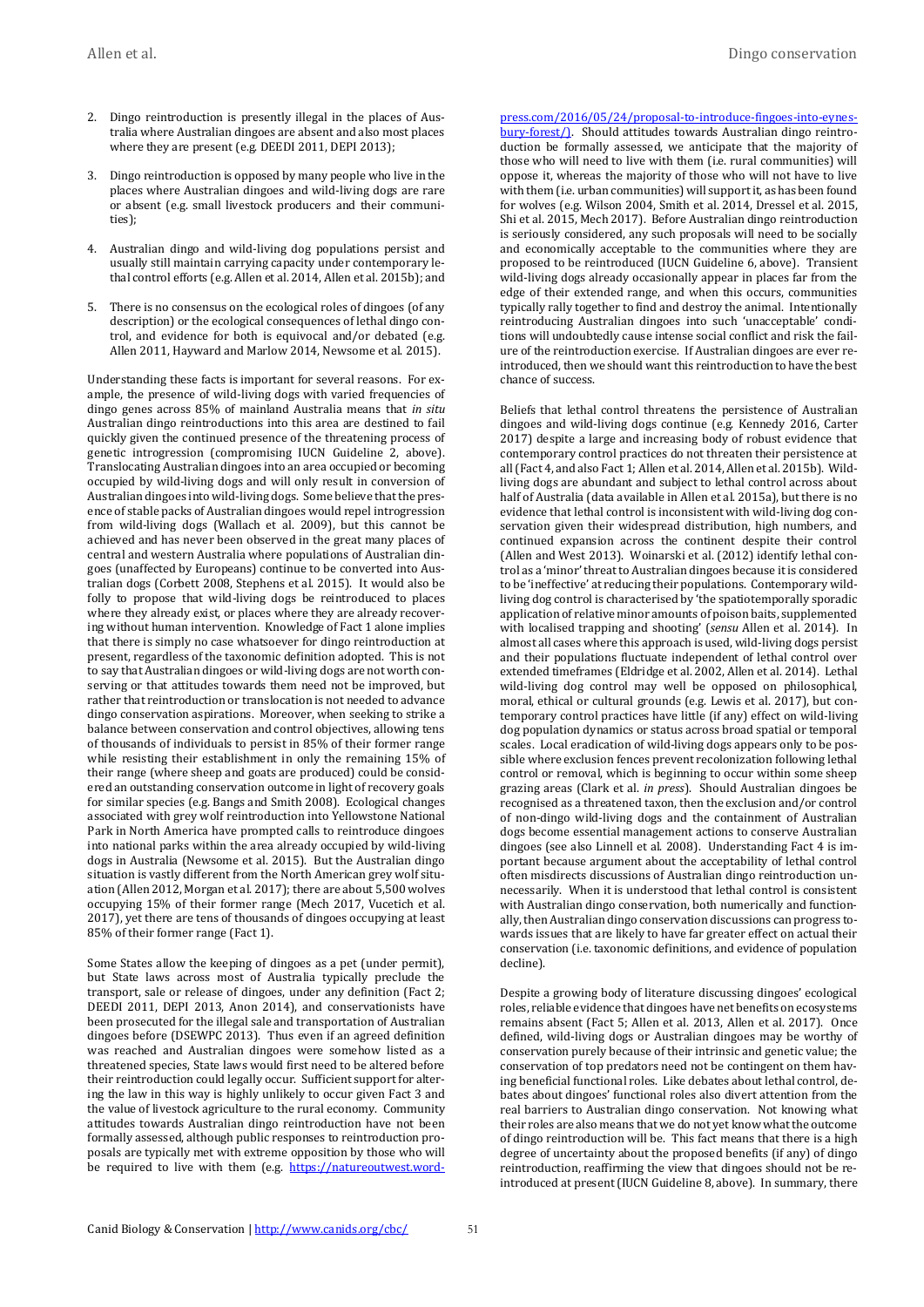- 2. Dingo reintroduction is presently illegal in the places of Australia where Australian dingoes are absent and also most places where they are present (e.g. DEEDI 2011, DEPI 2013);
- 3. Dingo reintroduction is opposed by many people who live in the places where Australian dingoes and wild-living dogs are rare or absent (e.g. small livestock producers and their communities);
- 4. Australian dingo and wild-living dog populations persist and usually still maintain carrying capacity under contemporary lethal control efforts (e.g. Allen et al. 2014, Allen et al. 2015b); and
- 5. There is no consensus on the ecological roles of dingoes (of any description) or the ecological consequences of lethal dingo control, and evidence for both is equivocal and/or debated (e.g. Allen 2011, Hayward and Marlow 2014, Newsome et al. 2015).

Understanding these facts is important for several reasons. For example, the presence of wild-living dogs with varied frequencies of dingo genes across 85% of mainland Australia means that *in situ*  Australian dingo reintroductions into this area are destined to fail quickly given the continued presence of the threatening process of genetic introgression (compromising IUCN Guideline 2, above). Translocating Australian dingoes into an area occupied or becoming occupied by wild-living dogs and will only result in conversion of Australian dingoes into wild-living dogs. Some believe that the presence of stable packs of Australian dingoes would repel introgression from wild-living dogs (Wallach et al. 2009), but this cannot be achieved and has never been observed in the great many places of central and western Australia where populations of Australian dingoes (unaffected by Europeans) continue to be converted into Australian dogs (Corbett 2008, Stephens et al. 2015). It would also be folly to propose that wild-living dogs be reintroduced to places where they already exist, or places where they are already recovering without human intervention. Knowledge of Fact 1 alone implies that there is simply no case whatsoever for dingo reintroduction at present, regardless of the taxonomic definition adopted. This is not to say that Australian dingoes or wild-living dogs are not worth conserving or that attitudes towards them need not be improved, but rather that reintroduction or translocation is not needed to advance dingo conservation aspirations. Moreover, when seeking to strike a balance between conservation and control objectives, allowing tens of thousands of individuals to persist in 85% of their former range while resisting their establishment in only the remaining 15% of their range (where sheep and goats are produced) could be considered an outstanding conservation outcome in light of recovery goals for similar species (e.g. Bangs and Smith 2008). Ecological changes associated with grey wolf reintroduction into Yellowstone National Park in North America have prompted calls to reintroduce dingoes into national parks within the area already occupied by wild-living dogs in Australia (Newsome et al. 2015). But the Australian dingo situation is vastly different from the North American grey wolf situation (Allen 2012, Morgan et al. 2017); there are about 5,500 wolves occupying 15% of their former range (Mech 2017, Vucetich et al. 2017), yet there are tens of thousands of dingoes occupying at least 85% of their former range (Fact 1).

Some States allow the keeping of dingoes as a pet (under permit), but State laws across most of Australia typically preclude the transport, sale or release of dingoes, under any definition (Fact 2; DEEDI 2011, DEPI 2013, Anon 2014), and conservationists have been prosecuted for the illegal sale and transportation of Australian dingoes before (DSEWPC 2013). Thus even if an agreed definition was reached and Australian dingoes were somehow listed as a threatened species, State laws would first need to be altered before their reintroduction could legally occur. Sufficient support for altering the law in this way is highly unlikely to occur given Fact 3 and the value of livestock agriculture to the rural economy. Community attitudes towards Australian dingo reintroduction have not been formally assessed, although public responses to reintroduction proposals are typically met with extreme opposition by those who will be required to live with them (e.g. [https://natureoutwest.word-](https://natureoutwest.wordpress.com/2016/05/24/proposal-to-introduce-fingoes-into-eynesbury-forest/)) [press.com/2016/05/24/proposal-to-introduce-fingoes-into-eynes](https://natureoutwest.wordpress.com/2016/05/24/proposal-to-introduce-fingoes-into-eynesbury-forest/))[bury-forest/\).](https://natureoutwest.wordpress.com/2016/05/24/proposal-to-introduce-fingoes-into-eynesbury-forest/)) Should attitudes towards Australian dingo reintroduction be formally assessed, we anticipate that the majority of those who will need to live with them (i.e. rural communities) will oppose it, whereas the majority of those who will not have to live with them (i.e. urban communities) will support it, as has been found for wolves (e.g. Wilson 2004, Smith et al. 2014, Dressel et al. 2015, Shi et al. 2015, Mech 2017). Before Australian dingo reintroduction is seriously considered, any such proposals will need to be socially and economically acceptable to the communities where they are proposed to be reintroduced (IUCN Guideline 6, above). Transient wild-living dogs already occasionally appear in places far from the edge of their extended range, and when this occurs, communities typically rally together to find and destroy the animal. Intentionally reintroducing Australian dingoes into such 'unacceptable' conditions will undoubtedly cause intense social conflict and risk the failure of the reintroduction exercise. If Australian dingoes are ever reintroduced, then we should want this reintroduction to have the best chance of success.

Beliefs that lethal control threatens the persistence of Australian dingoes and wild-living dogs continue (e.g. Kennedy 2016, Carter 2017) despite a large and increasing body of robust evidence that contemporary control practices do not threaten their persistence at all (Fact 4, and also Fact 1; Allen et al. 2014, Allen et al. 2015b). Wildliving dogs are abundant and subject to lethal control across about half of Australia (data available in Allen et al. 2015a), but there is no evidence that lethal control is inconsistent with wild-living dog conservation given their widespread distribution, high numbers, and continued expansion across the continent despite their control (Allen and West 2013). Woinarski et al. (2012) identify lethal control as a 'minor' threat to Australian dingoes because it is considered to be 'ineffective' at reducing their populations. Contemporary wildliving dog control is characterised by 'the spatiotemporally sporadic application of relative minor amounts of poison baits, supplemented with localised trapping and shooting' (*sensu* Allen et al. 2014). In almost all cases where this approach is used, wild-living dogs persist and their populations fluctuate independent of lethal control over extended timeframes (Eldridge et al. 2002, Allen et al. 2014). Lethal wild-living dog control may well be opposed on philosophical, moral, ethical or cultural grounds (e.g. Lewis et al. 2017), but contemporary control practices have little (if any) effect on wild-living dog population dynamics or status across broad spatial or temporal scales. Local eradication of wild-living dogs appears only to be possible where exclusion fences prevent recolonization following lethal control or removal, which is beginning to occur within some sheep grazing areas (Clark et al. *in press*). Should Australian dingoes be recognised as a threatened taxon, then the exclusion and/or control of non-dingo wild-living dogs and the containment of Australian dogs become essential management actions to conserve Australian dingoes (see also Linnell et al. 2008). Understanding Fact 4 is important because argument about the acceptability of lethal control often misdirects discussions of Australian dingo reintroduction unnecessarily. When it is understood that lethal control is consistent with Australian dingo conservation, both numerically and functionally, then Australian dingo conservation discussions can progress towards issues that are likely to have far greater effect on actual their conservation (i.e. taxonomic definitions, and evidence of population decline).

Despite a growing body of literature discussing dingoes' ecological roles, reliable evidence that dingoes have net benefits on ecosystems remains absent (Fact 5; Allen et al. 2013, Allen et al. 2017). Once defined, wild-living dogs or Australian dingoes may be worthy of conservation purely because of their intrinsic and genetic value; the conservation of top predators need not be contingent on them having beneficial functional roles. Like debates about lethal control, debates about dingoes' functional roles also divert attention from the real barriers to Australian dingo conservation. Not knowing what their roles are also means that we do not yet know what the outcome of dingo reintroduction will be. This fact means that there is a high degree of uncertainty about the proposed benefits (if any) of dingo reintroduction, reaffirming the view that dingoes should not be reintroduced at present (IUCN Guideline 8, above). In summary, there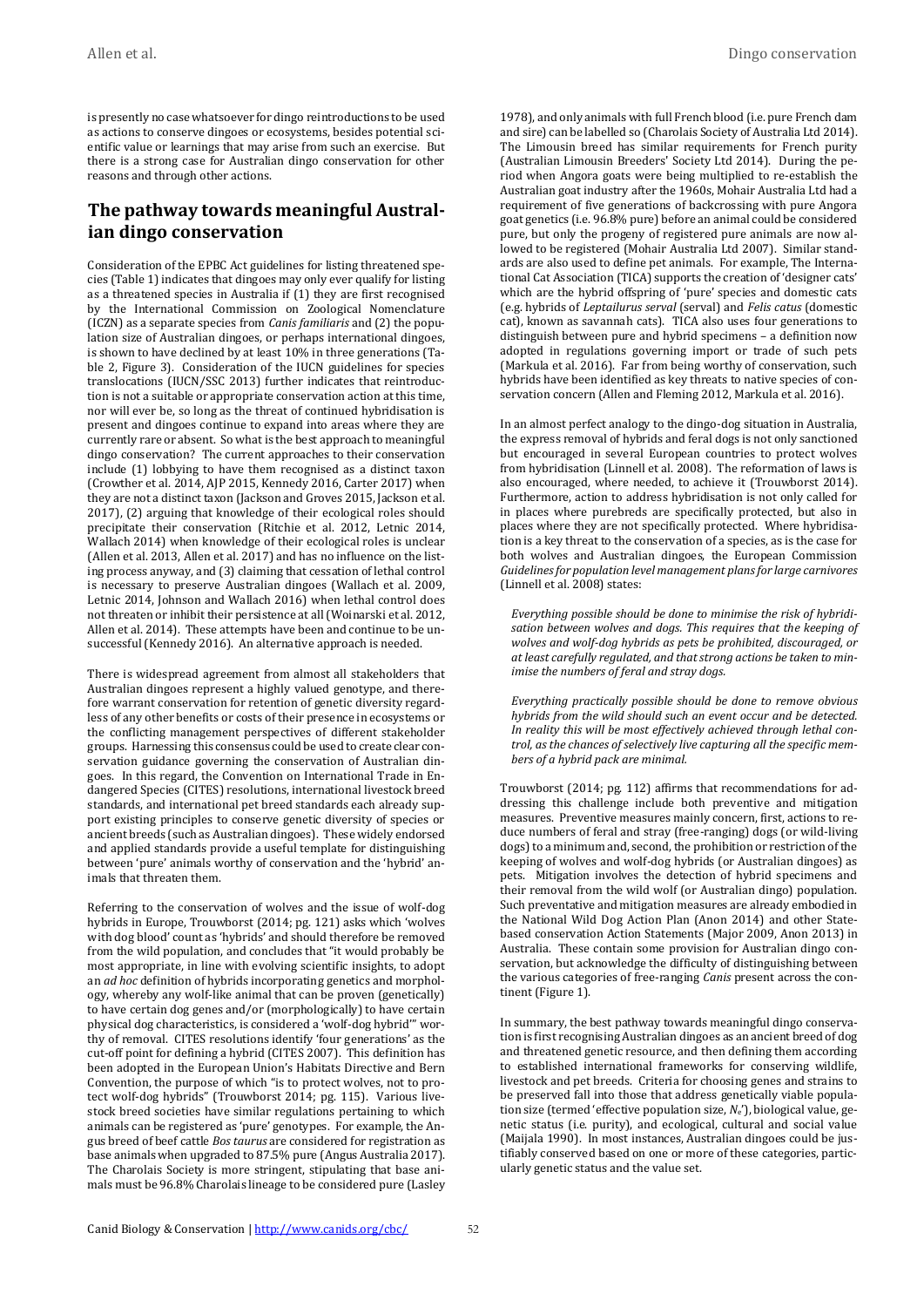is presently no case whatsoever for dingo reintroductions to be used as actions to conserve dingoes or ecosystems, besides potential scientific value or learnings that may arise from such an exercise. But there is a strong case for Australian dingo conservation for other reasons and through other actions.

# **The pathway towards meaningful Australian dingo conservation**

Consideration of the EPBC Act guidelines for listing threatened species (Table 1) indicates that dingoes may only ever qualify for listing as a threatened species in Australia if (1) they are first recognised by the International Commission on Zoological Nomenclature (ICZN) as a separate species from *Canis familiaris* and (2) the population size of Australian dingoes, or perhaps international dingoes, is shown to have declined by at least 10% in three generations (Table 2, Figure 3). Consideration of the IUCN guidelines for species translocations (IUCN/SSC 2013) further indicates that reintroduction is not a suitable or appropriate conservation action at this time, nor will ever be, so long as the threat of continued hybridisation is present and dingoes continue to expand into areas where they are currently rare or absent. So what is the best approach to meaningful dingo conservation? The current approaches to their conservation include (1) lobbying to have them recognised as a distinct taxon (Crowther et al. 2014, AJP 2015, Kennedy 2016, Carter 2017) when they are not a distinct taxon (Jackson and Groves 2015, Jackson et al. 2017), (2) arguing that knowledge of their ecological roles should precipitate their conservation (Ritchie et al. 2012, Letnic 2014, Wallach 2014) when knowledge of their ecological roles is unclear (Allen et al. 2013, Allen et al. 2017) and has no influence on the listing process anyway, and (3) claiming that cessation of lethal control is necessary to preserve Australian dingoes (Wallach et al. 2009, Letnic 2014, Johnson and Wallach 2016) when lethal control does not threaten or inhibit their persistence at all (Woinarski et al. 2012, Allen et al. 2014). These attempts have been and continue to be unsuccessful (Kennedy 2016). An alternative approach is needed.

There is widespread agreement from almost all stakeholders that Australian dingoes represent a highly valued genotype, and therefore warrant conservation for retention of genetic diversity regardless of any other benefits or costs of their presence in ecosystems or the conflicting management perspectives of different stakeholder groups. Harnessing this consensus could be used to create clear conservation guidance governing the conservation of Australian dingoes. In this regard, the Convention on International Trade in Endangered Species (CITES) resolutions, international livestock breed standards, and international pet breed standards each already support existing principles to conserve genetic diversity of species or ancient breeds (such as Australian dingoes). These widely endorsed and applied standards provide a useful template for distinguishing between 'pure' animals worthy of conservation and the 'hybrid' animals that threaten them.

Referring to the conservation of wolves and the issue of wolf-dog hybrids in Europe, Trouwborst (2014; pg. 121) asks which 'wolves with dog blood' count as 'hybrids' and should therefore be removed from the wild population, and concludes that "it would probably be most appropriate, in line with evolving scientific insights, to adopt an *ad hoc* definition of hybrids incorporating genetics and morphology, whereby any wolf-like animal that can be proven (genetically) to have certain dog genes and/or (morphologically) to have certain physical dog characteristics, is considered a 'wolf-dog hybrid'" worthy of removal. CITES resolutions identify 'four generations' as the cut-off point for defining a hybrid (CITES 2007). This definition has been adopted in the European Union's Habitats Directive and Bern Convention, the purpose of which "is to protect wolves, not to protect wolf-dog hybrids" (Trouwborst 2014; pg. 115). Various livestock breed societies have similar regulations pertaining to which animals can be registered as 'pure' genotypes. For example, the Angus breed of beef cattle *Bos taurus* are considered for registration as base animals when upgraded to 87.5% pure (Angus Australia 2017). The Charolais Society is more stringent, stipulating that base animals must be 96.8% Charolais lineage to be considered pure (Lasley

1978), and only animals with full French blood (i.e. pure French dam and sire) can be labelled so (Charolais Society of Australia Ltd 2014). The Limousin breed has similar requirements for French purity (Australian Limousin Breeders' Society Ltd 2014). During the period when Angora goats were being multiplied to re-establish the Australian goat industry after the 1960s, Mohair Australia Ltd had a requirement of five generations of backcrossing with pure Angora goat genetics (i.e. 96.8% pure) before an animal could be considered pure, but only the progeny of registered pure animals are now allowed to be registered (Mohair Australia Ltd 2007). Similar standards are also used to define pet animals. For example, The International Cat Association (TICA) supports the creation of 'designer cats' which are the hybrid offspring of 'pure' species and domestic cats (e.g. hybrids of *Leptailurus serval* (serval) and *Felis catus* (domestic cat), known as savannah cats). TICA also uses four generations to distinguish between pure and hybrid specimens – a definition now adopted in regulations governing import or trade of such pets (Markula et al. 2016). Far from being worthy of conservation, such hybrids have been identified as key threats to native species of conservation concern (Allen and Fleming 2012, Markula et al. 2016).

In an almost perfect analogy to the dingo-dog situation in Australia, the express removal of hybrids and feral dogs is not only sanctioned but encouraged in several European countries to protect wolves from hybridisation (Linnell et al. 2008). The reformation of laws is also encouraged, where needed, to achieve it (Trouwborst 2014). Furthermore, action to address hybridisation is not only called for in places where purebreds are specifically protected, but also in places where they are not specifically protected. Where hybridisation is a key threat to the conservation of a species, as is the case for both wolves and Australian dingoes, the European Commission *Guidelines for population level management plans for large carnivores* (Linnell et al. 2008) states:

*Everything possible should be done to minimise the risk of hybridisation between wolves and dogs. This requires that the keeping of wolves and wolf-dog hybrids as pets be prohibited, discouraged, or at least carefully regulated, and that strong actions be taken to minimise the numbers of feral and stray dogs.*

*Everything practically possible should be done to remove obvious hybrids from the wild should such an event occur and be detected. In reality this will be most effectively achieved through lethal control, as the chances of selectively live capturing all the specific members of a hybrid pack are minimal.*

Trouwborst (2014; pg. 112) affirms that recommendations for addressing this challenge include both preventive and mitigation measures. Preventive measures mainly concern, first, actions to reduce numbers of feral and stray (free-ranging) dogs (or wild-living dogs) to a minimum and, second, the prohibition or restriction of the keeping of wolves and wolf-dog hybrids (or Australian dingoes) as pets. Mitigation involves the detection of hybrid specimens and their removal from the wild wolf (or Australian dingo) population. Such preventative and mitigation measures are already embodied in the National Wild Dog Action Plan (Anon 2014) and other Statebased conservation Action Statements (Major 2009, Anon 2013) in Australia. These contain some provision for Australian dingo conservation, but acknowledge the difficulty of distinguishing between the various categories of free-ranging *Canis* present across the continent (Figure 1).

In summary, the best pathway towards meaningful dingo conservation is first recognising Australian dingoes as an ancient breed of dog and threatened genetic resource, and then defining them according to established international frameworks for conserving wildlife, livestock and pet breeds. Criteria for choosing genes and strains to be preserved fall into those that address genetically viable population size (termed 'effective population size, *N*e'), biological value, genetic status (i.e. purity), and ecological, cultural and social value (Maijala 1990). In most instances, Australian dingoes could be justifiably conserved based on one or more of these categories, particularly genetic status and the value set.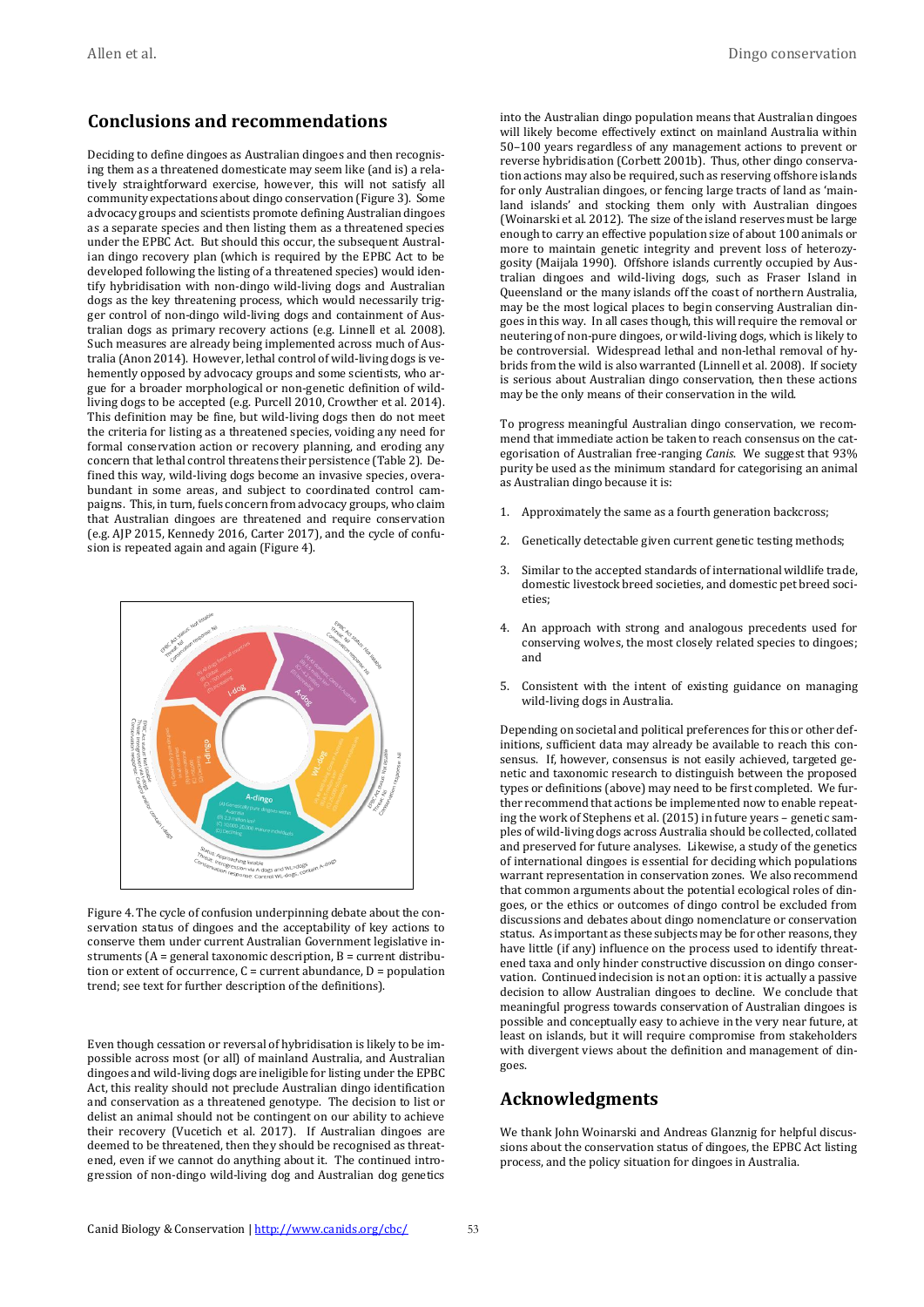#### **Conclusions and recommendations**

Deciding to define dingoes as Australian dingoes and then recognising them as a threatened domesticate may seem like (and is) a relatively straightforward exercise, however, this will not satisfy all community expectations about dingo conservation (Figure 3). Some advocacy groups and scientists promote defining Australian dingoes as a separate species and then listing them as a threatened species under the EPBC Act. But should this occur, the subsequent Australian dingo recovery plan (which is required by the EPBC Act to be developed following the listing of a threatened species) would identify hybridisation with non-dingo wild-living dogs and Australian dogs as the key threatening process, which would necessarily trigger control of non-dingo wild-living dogs and containment of Australian dogs as primary recovery actions (e.g. Linnell et al. 2008). Such measures are already being implemented across much of Australia (Anon 2014). However, lethal control of wild-living dogs is vehemently opposed by advocacy groups and some scientists, who argue for a broader morphological or non-genetic definition of wildliving dogs to be accepted (e.g. Purcell 2010, Crowther et al. 2014). This definition may be fine, but wild-living dogs then do not meet the criteria for listing as a threatened species, voiding any need for formal conservation action or recovery planning, and eroding any concern that lethal control threatens their persistence (Table 2). Defined this way, wild-living dogs become an invasive species, overabundant in some areas, and subject to coordinated control campaigns. This, in turn, fuels concern from advocacy groups, who claim that Australian dingoes are threatened and require conservation (e.g. AJP 2015, Kennedy 2016, Carter 2017), and the cycle of confusion is repeated again and again (Figure 4).



Figure 4. The cycle of confusion underpinning debate about the conservation status of dingoes and the acceptability of key actions to conserve them under current Australian Government legislative instruments (A = general taxonomic description, B = current distribution or extent of occurrence,  $C =$  current abundance,  $D =$  population trend; see text for further description of the definitions).

Even though cessation or reversal of hybridisation is likely to be impossible across most (or all) of mainland Australia, and Australian dingoes and wild-living dogs are ineligible for listing under the EPBC Act, this reality should not preclude Australian dingo identification and conservation as a threatened genotype. The decision to list or delist an animal should not be contingent on our ability to achieve their recovery (Vucetich et al. 2017). If Australian dingoes are deemed to be threatened, then they should be recognised as threatened, even if we cannot do anything about it. The continued introgression of non-dingo wild-living dog and Australian dog genetics into the Australian dingo population means that Australian dingoes will likely become effectively extinct on mainland Australia within 50–100 years regardless of any management actions to prevent or reverse hybridisation (Corbett 2001b). Thus, other dingo conservation actions may also be required, such as reserving offshore islands for only Australian dingoes, or fencing large tracts of land as 'mainland islands' and stocking them only with Australian dingoes (Woinarski et al. 2012). The size of the island reserves must be large enough to carry an effective population size of about 100 animals or more to maintain genetic integrity and prevent loss of heterozygosity (Maijala 1990). Offshore islands currently occupied by Australian dingoes and wild-living dogs, such as Fraser Island in Queensland or the many islands off the coast of northern Australia, may be the most logical places to begin conserving Australian dingoes in this way. In all cases though, this will require the removal or neutering of non-pure dingoes, or wild-living dogs, which is likely to be controversial. Widespread lethal and non-lethal removal of hybrids from the wild is also warranted (Linnell et al. 2008). If society is serious about Australian dingo conservation, then these actions may be the only means of their conservation in the wild.

To progress meaningful Australian dingo conservation, we recommend that immediate action be taken to reach consensus on the categorisation of Australian free-ranging *Canis*. We suggest that 93% purity be used as the minimum standard for categorising an animal as Australian dingo because it is:

- 1. Approximately the same as a fourth generation backcross;
- 2. Genetically detectable given current genetic testing methods;
- 3. Similar to the accepted standards of international wildlife trade, domestic livestock breed societies, and domestic pet breed societies;
- 4. An approach with strong and analogous precedents used for conserving wolves, the most closely related species to dingoes; and
- 5. Consistent with the intent of existing guidance on managing wild-living dogs in Australia.

Depending on societal and political preferences for this or other definitions, sufficient data may already be available to reach this consensus. If, however, consensus is not easily achieved, targeted genetic and taxonomic research to distinguish between the proposed types or definitions (above) may need to be first completed. We further recommend that actions be implemented now to enable repeating the work of Stephens et al. (2015) in future years – genetic samples of wild-living dogs across Australia should be collected, collated and preserved for future analyses. Likewise, a study of the genetics of international dingoes is essential for deciding which populations warrant representation in conservation zones. We also recommend that common arguments about the potential ecological roles of dingoes, or the ethics or outcomes of dingo control be excluded from discussions and debates about dingo nomenclature or conservation status. As important as these subjects may be for other reasons, they have little (if any) influence on the process used to identify threatened taxa and only hinder constructive discussion on dingo conservation. Continued indecision is not an option: it is actually a passive decision to allow Australian dingoes to decline. We conclude that meaningful progress towards conservation of Australian dingoes is possible and conceptually easy to achieve in the very near future, at least on islands, but it will require compromise from stakeholders with divergent views about the definition and management of dingoes.

#### **Acknowledgments**

We thank John Woinarski and Andreas Glanznig for helpful discussions about the conservation status of dingoes, the EPBC Act listing process, and the policy situation for dingoes in Australia.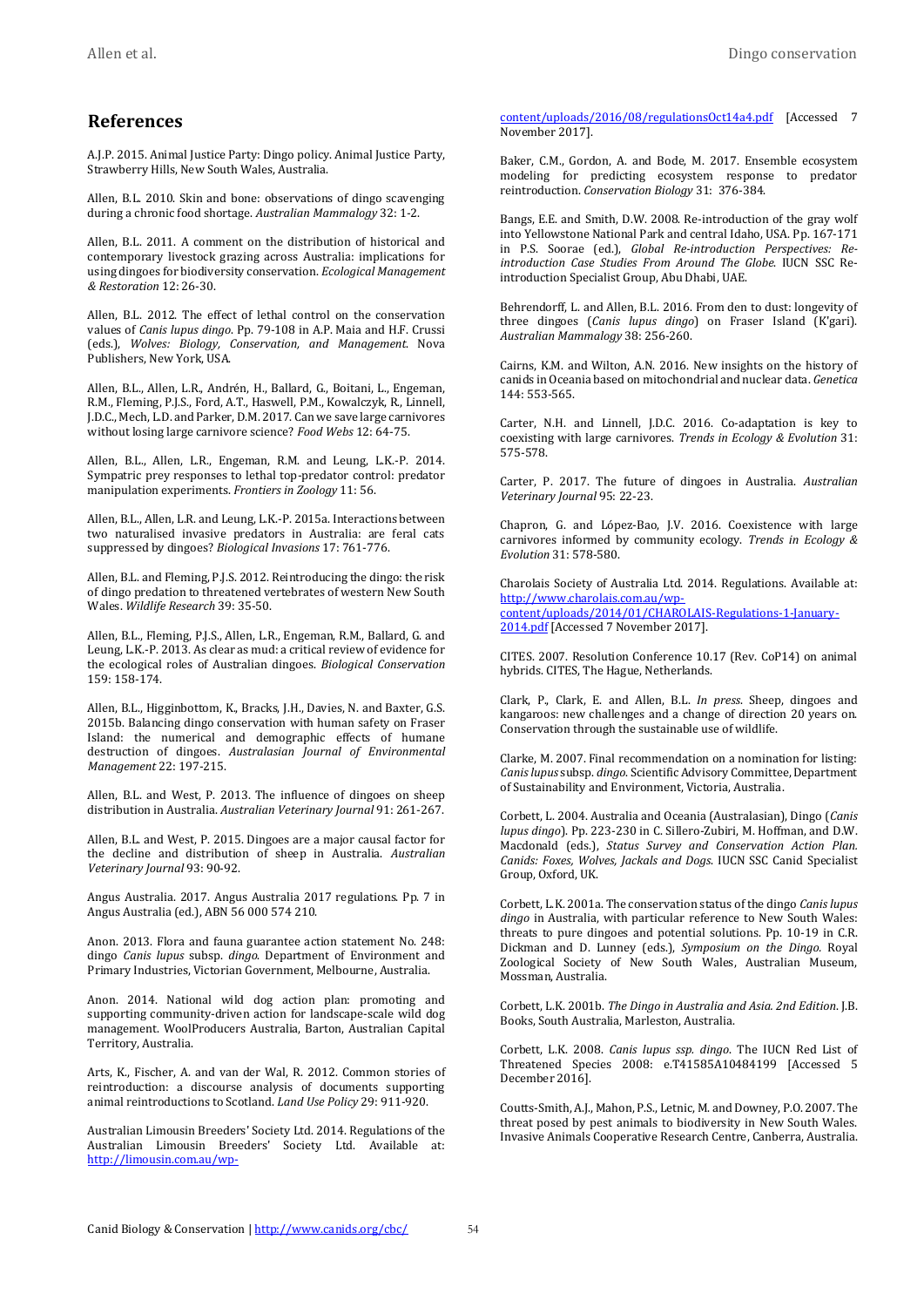#### **References**

A.J.P. 2015. Animal Justice Party: Dingo policy. Animal Justice Party, Strawberry Hills, New South Wales, Australia.

Allen, B.L. 2010. Skin and bone: observations of dingo scavenging during a chronic food shortage. *Australian Mammalogy* 32: 1-2.

Allen, B.L. 2011. A comment on the distribution of historical and contemporary livestock grazing across Australia: implications for using dingoes for biodiversity conservation. *Ecological Management & Restoration* 12: 26-30.

Allen, B.L. 2012. The effect of lethal control on the conservation values of *Canis lupus dingo*. Pp. 79-108 in A.P. Maia and H.F. Crussi (eds.), *Wolves: Biology, Conservation, and Management*. Nova Publishers, New York, USA.

Allen, B.L., Allen, L.R., Andrén, H., Ballard, G., Boitani, L., Engeman, R.M., Fleming, P.J.S., Ford, A.T., Haswell, P.M., Kowalczyk, R., Linnell, J.D.C., Mech, L.D. and Parker, D.M. 2017. Can we save large carnivores without losing large carnivore science? *Food Webs* 12: 64-75.

Allen, B.L., Allen, L.R., Engeman, R.M. and Leung, L.K.-P. 2014. Sympatric prey responses to lethal top-predator control: predator manipulation experiments. *Frontiers in Zoology* 11: 56.

Allen, B.L., Allen, L.R. and Leung, L.K.-P. 2015a. Interactions between two naturalised invasive predators in Australia: are feral cats suppressed by dingoes? *Biological Invasions* 17: 761-776.

Allen, B.L. and Fleming, P.J.S. 2012. Reintroducing the dingo: the risk of dingo predation to threatened vertebrates of western New South Wales. *Wildlife Research* 39: 35-50.

<span id="page-9-1"></span>Allen, B.L., Fleming, P.J.S., Allen, L.R., Engeman, R.M., Ballard, G. and Leung, L.K.-P. 2013. As clear as mud: a critical review of evidence for the ecological roles of Australian dingoes. *Biological Conservation* 159: 158-174.

Allen, B.L., Higginbottom, K., Bracks, J.H., Davies, N. and Baxter, G.S. 2015b. Balancing dingo conservation with human safety on Fraser Island: the numerical and demographic effects of humane destruction of dingoes. *Australasian Journal of Environmental Management* 22: 197-215.

Allen, B.L. and West, P. 2013. The influence of dingoes on sheep distribution in Australia. *Australian Veterinary Journal* 91: 261-267.

Allen, B.L. and West, P. 2015. Dingoes are a major causal factor for the decline and distribution of sheep in Australia. *Australian Veterinary Journal* 93: 90-92.

Angus Australia. 2017. Angus Australia 2017 regulations. Pp. 7 in Angus Australia (ed.), ABN 56 000 574 210.

Anon. 2013. Flora and fauna guarantee action statement No. 248: dingo *Canis lupus* subsp. *dingo*. Department of Environment and Primary Industries, Victorian Government, Melbourne, Australia.

Anon. 2014. National wild dog action plan: promoting and supporting community-driven action for landscape-scale wild dog management. WoolProducers Australia, Barton, Australian Capital Territory, Australia.

Arts, K., Fischer, A. and van der Wal, R. 2012. Common stories of reintroduction: a discourse analysis of documents supporting animal reintroductions to Scotland. *Land Use Policy* 29: 911-920.

Australian Limousin Breeders' Society Ltd. 2014. Regulations of the Australian Limousin Breeders' Society Ltd. Available at: [http://limousin.com.au/wp-](http://limousin.com.au/wp-content/uploads/2016/08/regulationsOct14a4.pdf) [content/uploads/2016/08/regulationsOct14a4.pdf](http://limousin.com.au/wp-content/uploads/2016/08/regulationsOct14a4.pdf) [Accessed 7 November 2017].

Baker, C.M., Gordon, A. and Bode, M. 2017. Ensemble ecosystem modeling for predicting ecosystem response to predator reintroduction. *Conservation Biology* 31: 376-384.

Bangs, E.E. and Smith, D.W. 2008. Re-introduction of the gray wolf into Yellowstone National Park and central Idaho, USA. Pp. 167-171 in P.S. Soorae (ed.), *Global Re-introduction Perspectives: Reintroduction Case Studies From Around The Globe*. IUCN SSC Reintroduction Specialist Group, Abu Dhabi, UAE.

Behrendorff, L. and Allen, B.L. 2016. From den to dust: longevity of three dingoes (*Canis lupus dingo*) on Fraser Island (K'gari). *Australian Mammalogy* 38: 256-260.

Cairns, K.M. and Wilton, A.N. 2016. New insights on the history of canids in Oceania based on mitochondrial and nuclear data. *Genetica* 144: 553-565.

Carter, N.H. and Linnell, J.D.C. 2016. Co-adaptation is key to coexisting with large carnivores. *Trends in Ecology & Evolution* 31: 575-578.

Carter, P. 2017. The future of dingoes in Australia. *Australian Veterinary Journal* 95: 22-23.

Chapron, G. and López-Bao, J.V. 2016. Coexistence with large carnivores informed by community ecology. *Trends in Ecology & Evolution* 31: 578-580.

Charolais Society of Australia Ltd. 2014. Regulations. Available at: [http://www.charolais.com.au/wp](http://www.charolais.com.au/wp-content/uploads/2014/01/CHAROLAIS-Regulations-1-January-2014.pdf)[content/uploads/2014/01/CHAROLAIS-Regulations-1-January-](http://www.charolais.com.au/wp-content/uploads/2014/01/CHAROLAIS-Regulations-1-January-2014.pdf)[2014.pdf](http://www.charolais.com.au/wp-content/uploads/2014/01/CHAROLAIS-Regulations-1-January-2014.pdf) [Accessed 7 November 2017].

CITES. 2007. Resolution Conference 10.17 (Rev. CoP14) on animal hybrids. CITES, The Hague, Netherlands.

Clark, P., Clark, E. and Allen, B.L. *In press*. Sheep, dingoes and kangaroos: new challenges and a change of direction 20 years on. Conservation through the sustainable use of wildlife.

Clarke, M. 2007. Final recommendation on a nomination for listing: *Canis lupus* subsp. *dingo*. Scientific Advisory Committee, Department of Sustainability and Environment, Victoria, Australia.

<span id="page-9-0"></span>Corbett, L. 2004. Australia and Oceania (Australasian), Dingo (*Canis lupus dingo*). Pp. 223-230 in C. Sillero-Zubiri, M. Hoffman, and D.W. Macdonald (eds.), *Status Survey and Conservation Action Plan. Canids: Foxes, Wolves, Jackals and Dogs*. IUCN SSC Canid Specialist Group, Oxford, UK.

Corbett, L.K. 2001a. The conservation status of the dingo *Canis lupus dingo* in Australia, with particular reference to New South Wales: threats to pure dingoes and potential solutions. Pp. 10-19 in C.R. Dickman and D. Lunney (eds.), *Symposium on the Dingo.* Royal Zoological Society of New South Wales, Australian Museum, Mossman, Australia.

Corbett, L.K. 2001b. *The Dingo in Australia and Asia. 2nd Edition*. J.B. Books, South Australia, Marleston, Australia.

Corbett, L.K. 2008. *Canis lupus ssp. dingo*. The IUCN Red List of Threatened Species 2008: e.T41585A10484199 [Accessed 5 December 2016].

Coutts-Smith, A.J., Mahon, P.S., Letnic, M. and Downey, P.O. 2007. The threat posed by pest animals to biodiversity in New South Wales. Invasive Animals Cooperative Research Centre, Canberra, Australia.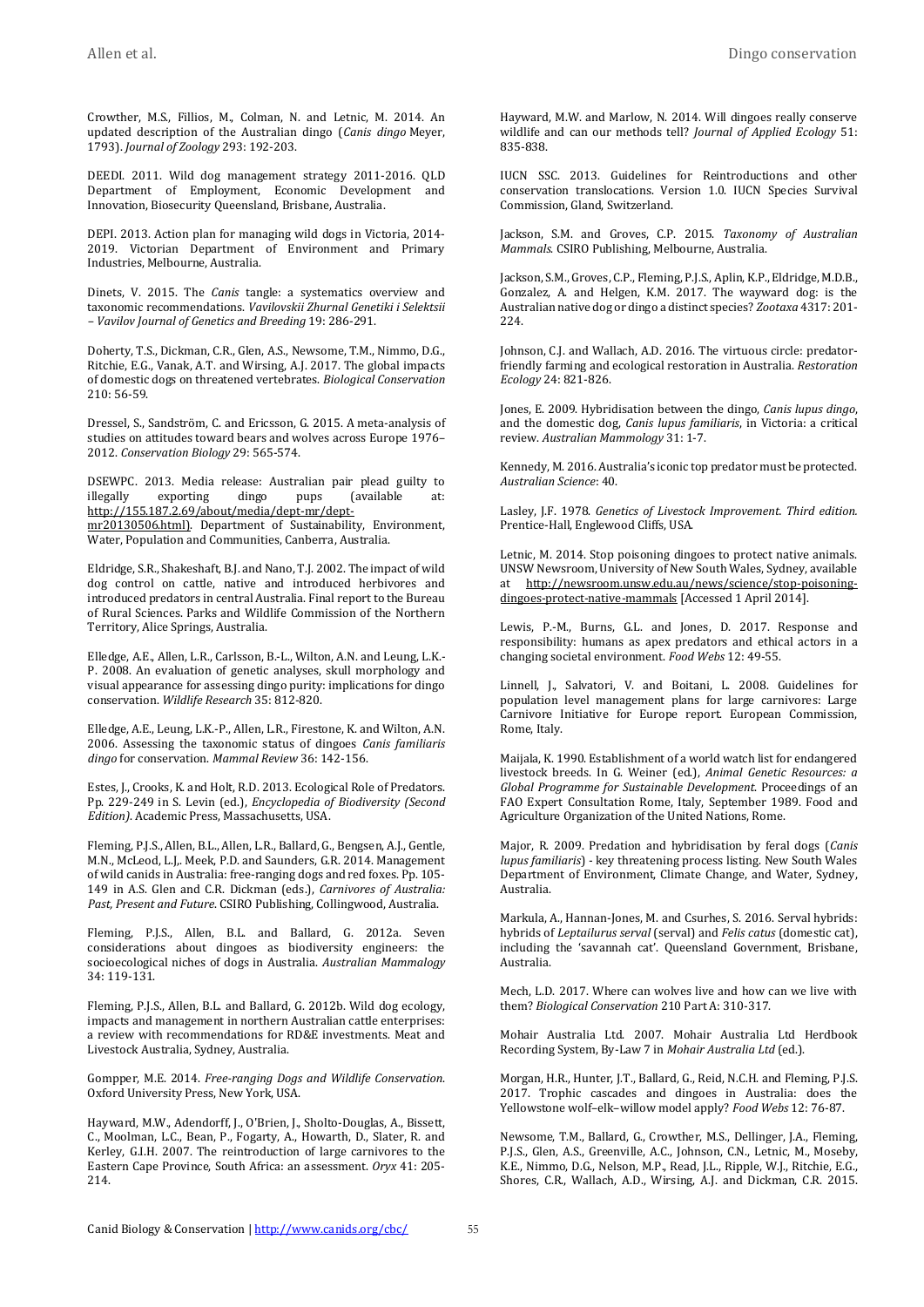Crowther, M.S., Fillios, M., Colman, N. and Letnic, M. 2014. An updated description of the Australian dingo (*Canis dingo* Meyer, 1793). *Journal of Zoology* 293: 192-203.

DEEDI. 2011. Wild dog management strategy 2011-2016. QLD Department of Employment, Economic Development and Innovation, Biosecurity Queensland, Brisbane, Australia.

DEPI. 2013. Action plan for managing wild dogs in Victoria, 2014- 2019. Victorian Department of Environment and Primary Industries, Melbourne, Australia.

Dinets, V. 2015. The *Canis* tangle: a systematics overview and taxonomic recommendations. *Vavilovskii Zhurnal Genetiki i Selektsii – Vavilov Journal of Genetics and Breeding* 19: 286-291.

Doherty, T.S., Dickman, C.R., Glen, A.S., Newsome, T.M., Nimmo, D.G., Ritchie, E.G., Vanak, A.T. and Wirsing, A.J. 2017. The global impacts of domestic dogs on threatened vertebrates. *Biological Conservation* 210: 56-59.

Dressel, S., Sandström, C. and Ericsson, G. 2015. A meta-analysis of studies on attitudes toward bears and wolves across Europe 1976– 2012. *Conservation Biology* 29: 565-574.

DSEWPC. 2013. Media release: Australian pair plead guilty to illegally exporting dingo pups (available at: [http://155.187.2.69/about/media/dept-mr/dept-](http://155.187.2.69/about/media/dept-mr/dept-mr20130506.html))

[mr20130506.html\).](http://155.187.2.69/about/media/dept-mr/dept-mr20130506.html)) Department of Sustainability, Environment, Water, Population and Communities, Canberra, Australia.

Eldridge, S.R., Shakeshaft, B.J. and Nano, T.J. 2002. The impact of wild dog control on cattle, native and introduced herbivores and introduced predators in central Australia. Final report to the Bureau of Rural Sciences. Parks and Wildlife Commission of the Northern Territory, Alice Springs, Australia.

Elledge, A.E., Allen, L.R., Carlsson, B.-L., Wilton, A.N. and Leung, L.K.- P. 2008. An evaluation of genetic analyses, skull morphology and visual appearance for assessing dingo purity: implications for dingo conservation. *Wildlife Research* 35: 812-820.

Elledge, A.E., Leung, L.K.-P., Allen, L.R., Firestone, K. and Wilton, A.N. 2006. Assessing the taxonomic status of dingoes *Canis familiaris dingo* for conservation. *Mammal Review* 36: 142-156.

Estes, J., Crooks, K. and Holt, R.D. 2013. Ecological Role of Predators. Pp. 229-249 in S. Levin (ed.), *Encyclopedia of Biodiversity (Second Edition)*. Academic Press, Massachusetts, USA.

Fleming, P.J.S., Allen, B.L., Allen, L.R., Ballard, G., Bengsen, A.J., Gentle, M.N., McLeod, L.J,. Meek, P.D. and Saunders, G.R. 2014. Management of wild canids in Australia: free-ranging dogs and red foxes. Pp. 105- 149 in A.S. Glen and C.R. Dickman (eds.), *Carnivores of Australia: Past, Present and Future*. CSIRO Publishing, Collingwood, Australia.

Fleming, P.J.S., Allen, B.L. and Ballard, G. 2012a. Seven considerations about dingoes as biodiversity engineers: the socioecological niches of dogs in Australia. *Australian Mammalogy* 34: 119-131.

Fleming, P.J.S., Allen, B.L. and Ballard, G. 2012b. Wild dog ecology, impacts and management in northern Australian cattle enterprises: a review with recommendations for RD&E investments. Meat and Livestock Australia, Sydney, Australia.

Gompper, M.E. 2014. *Free-ranging Dogs and Wildlife Conservation*. Oxford University Press, New York, USA.

Hayward, M.W., Adendorff, J., O'Brien, J., Sholto-Douglas, A., Bissett, C., Moolman, L.C., Bean, P., Fogarty, A., Howarth, D., Slater, R. and Kerley, G.I.H. 2007. The reintroduction of large carnivores to the Eastern Cape Province, South Africa: an assessment. *Oryx* 41: 205- 214.

Hayward, M.W. and Marlow, N. 2014. Will dingoes really conserve wildlife and can our methods tell? *Journal of Applied Ecology* 51: 835-838.

IUCN SSC. 2013. Guidelines for Reintroductions and other conservation translocations. Version 1.0. IUCN Species Survival Commission, Gland, Switzerland.

Jackson, S.M. and Groves, C.P. 2015. *Taxonomy of Australian Mammals*. CSIRO Publishing, Melbourne, Australia.

Jackson, S.M., Groves, C.P., Fleming, P.J.S., Aplin, K.P., Eldridge, M.D.B., Gonzalez, A. and Helgen, K.M. 2017. The wayward dog: is the Australian native dog or dingo a distinct species? *Zootaxa* 4317: 201- 224.

Johnson, C.J. and Wallach, A.D. 2016. The virtuous circle: predatorfriendly farming and ecological restoration in Australia. *Restoration Ecology* 24: 821-826.

Jones, E. 2009. Hybridisation between the dingo, *Canis lupus dingo*, and the domestic dog, *Canis lupus familiaris*, in Victoria: a critical review. *Australian Mammology* 31: 1-7.

Kennedy, M. 2016. Australia's iconic top predator must be protected. *Australian Science*: 40.

Lasley, J.F. 1978. *Genetics of Livestock Improvement. Third edition.* Prentice-Hall, Englewood Cliffs, USA.

Letnic, M. 2014. Stop poisoning dingoes to protect native animals. UNSW Newsroom, University of New South Wales, Sydney, available at [http://newsroom.unsw.edu.au/news/science/stop-poisoning](http://newsroom.unsw.edu.au/news/science/stop-poisoning-dingoes-protect-native-mammals)[dingoes-protect-native-mammals](http://newsroom.unsw.edu.au/news/science/stop-poisoning-dingoes-protect-native-mammals) [Accessed 1 April 2014].

Lewis, P.-M., Burns, G.L. and Jones, D. 2017. Response and responsibility: humans as apex predators and ethical actors in a changing societal environment. *Food Webs* 12: 49-55.

Linnell, J., Salvatori, V. and Boitani, L. 2008. Guidelines for population level management plans for large carnivores: Large Carnivore Initiative for Europe report. European Commission, Rome, Italy.

Maijala, K. 1990. Establishment of a world watch list for endangered livestock breeds. In G. Weiner (ed.), *Animal Genetic Resources: a Global Programme for Sustainable Development*. Proceedings of an FAO Expert Consultation Rome, Italy, September 1989. Food and Agriculture Organization of the United Nations, Rome.

Major, R. 2009. Predation and hybridisation by feral dogs (*Canis lupus familiaris*) - key threatening process listing. New South Wales Department of Environment, Climate Change, and Water, Sydney, Australia.

Markula, A., Hannan-Jones, M. and Csurhes, S. 2016. Serval hybrids: hybrids of *Leptailurus serval* (serval) and *Felis catus* (domestic cat), including the 'savannah cat'. Queensland Government, Brisbane, Australia.

Mech, L.D. 2017. Where can wolves live and how can we live with them? *Biological Conservation* 210 Part A: 310-317.

Mohair Australia Ltd. 2007. Mohair Australia Ltd Herdbook Recording System, By-Law 7 in *Mohair Australia Ltd* (ed.).

Morgan, H.R., Hunter, J.T., Ballard, G., Reid, N.C.H. and Fleming, P.J.S. 2017. Trophic cascades and dingoes in Australia: does the Yellowstone wolf–elk–willow model apply? *Food Webs* 12: 76-87.

Newsome, T.M., Ballard, G., Crowther, M.S., Dellinger, J.A., Fleming, P.J.S., Glen, A.S., Greenville, A.C., Johnson, C.N., Letnic, M., Moseby, K.E., Nimmo, D.G., Nelson, M.P., Read, J.L., Ripple, W.J., Ritchie, E.G., Shores, C.R., Wallach, A.D., Wirsing, A.J. and Dickman, C.R. 2015.